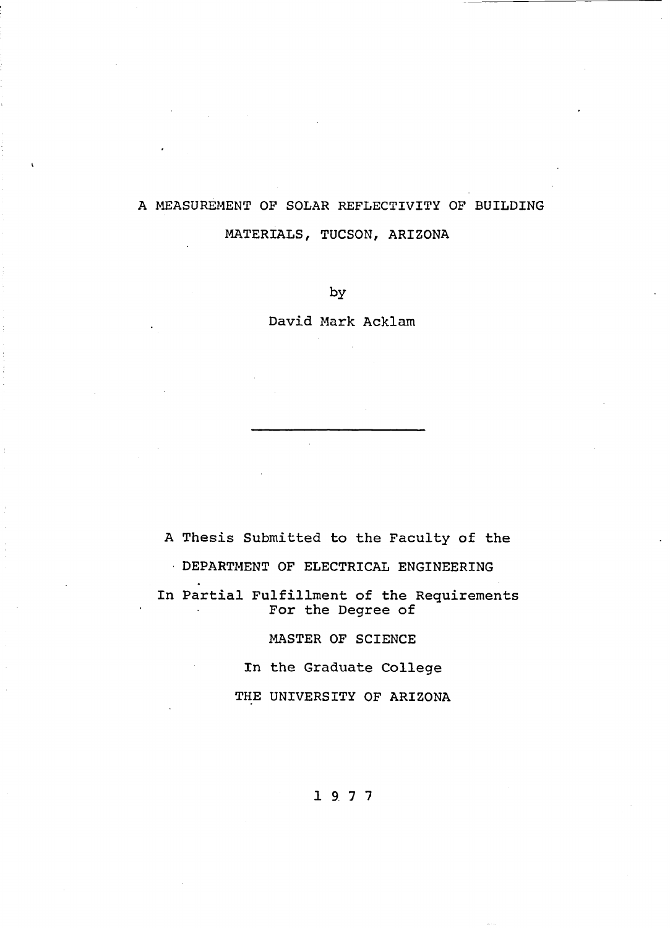# **A MEASUREMENT OF SOLAR REFLECTIVITY OF BUILDING MATERIALS, TUCSON, ARIZONA**

**by**

**David Mark Acklam**

**A Thesis Submitted to the Faculty of the DEPARTMENT OF ELECTRICAL ENGINEERING In Partial Fulfillment of the Requirements For the Degree of**

**MASTER OF SCIENCE**

**In the Graduate College**

**THE UNIVERSITY OF ARIZONA**

**1 9 7 7**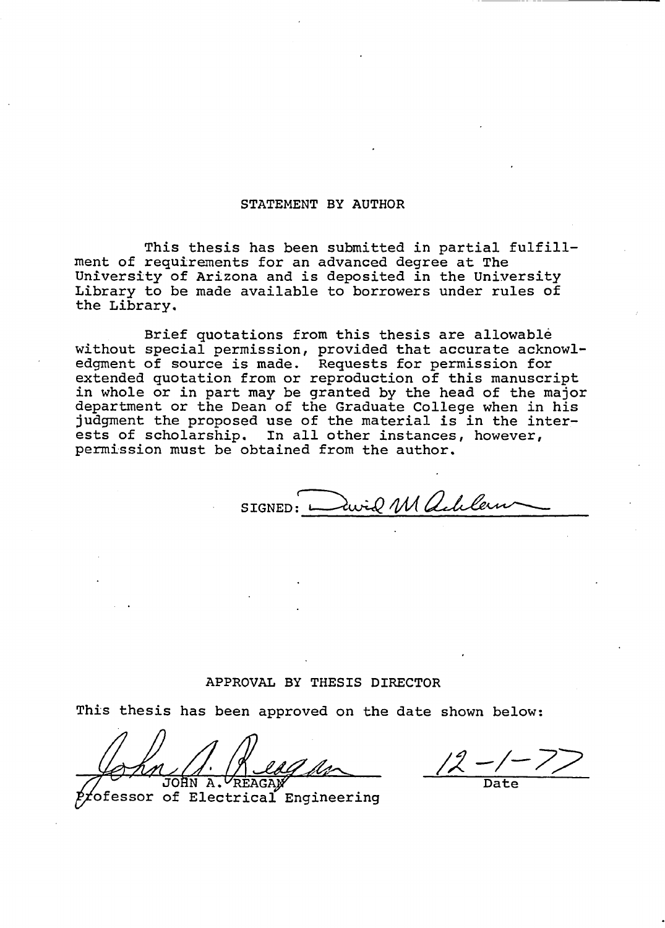### **STATEMENT BY AUTHOR**

**This thesis has been submitted in partial fulfillment of requirements for an advanced degree at The University of Arizona and is deposited in the University Library to be made available to borrowers under rules of the Library.**

**Brief quotations from this thesis are allowable without special permission, provided that accurate acknowledgment of source is made. Requests for permission for extended quotation from or reproduction of this manuscript in whole or in part may be granted by the head of the major department or the Dean of the Graduate College when in his judgment the proposed use of the material is in the interests of scholarship. In all other instances, however, permission must be obtained from the author.**

SIGNED: **Every M alchlein** 

## **APPROVAL BY THESIS DIRECTOR**

**This thesis has been approved on the date shown below:**

JOHN A. YREAGA**M** 

**fofessor of Electrical Engineering**

**Date**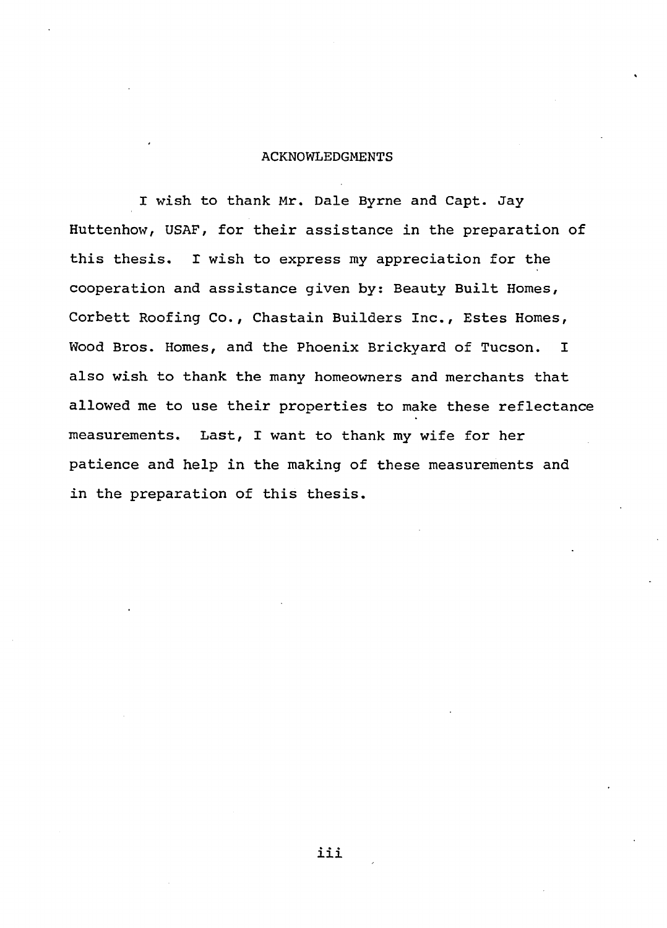#### **ACKNOWLEDGMENTS**

**I wish to thank Mr. Dale Byrne and Capt. Jay Huttenhow, USAF, for their assistance in the preparation of this thesis. I wish to express my appreciation for the cooperation and assistance given by: Beauty Built Homes, Corbett Roofing Co., Chastain Builders Inc***. ,* **Estes Homes, Wood Bros. Homes, and the Phoenix Brickyard of Tucson. I also wish to thank the many homeowners and merchants that allowed me to use their properties to make these reflectance measurements. Last, I want to thank my wife for her patience and help in the making of these measurements and in the preparation of this thesis.**

**iii**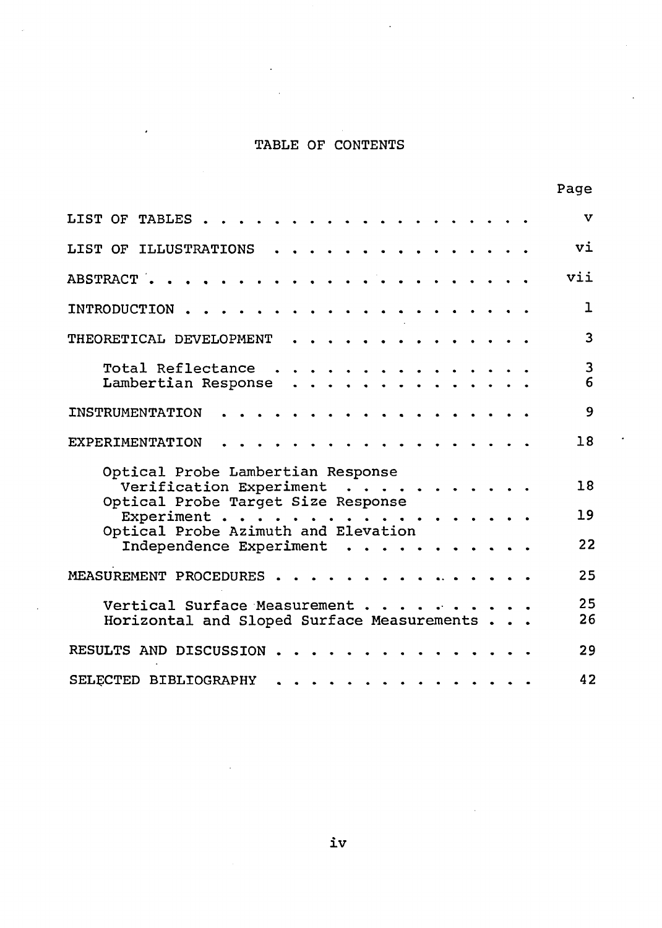## **TABLE OF CONTENTS**

 $\overline{a}$ 

|                                                                                                                                                                          | Page         |
|--------------------------------------------------------------------------------------------------------------------------------------------------------------------------|--------------|
| LIST OF TABLES                                                                                                                                                           | v            |
| LIST OF ILLUSTRATIONS                                                                                                                                                    | vi           |
| ABSTRACT .                                                                                                                                                               | vii          |
| INTRODUCTION                                                                                                                                                             | $\mathbf{I}$ |
| THEORETICAL DEVELOPMENT                                                                                                                                                  | 3            |
| Total Reflectance<br>Lambertian Response                                                                                                                                 | 3<br>6       |
| <b>INSTRUMENTATION</b>                                                                                                                                                   | 9            |
| EXPERIMENTATION                                                                                                                                                          | 18           |
| Optical Probe Lambertian Response<br>Verification Experiment<br>$\sim$ $\sim$<br>Optical Probe Target Size Response<br>Experiment<br>Optical Probe Azimuth and Elevation | 18<br>19     |
| Independence Experiment                                                                                                                                                  | 22           |
| MEASUREMENT PROCEDURES                                                                                                                                                   | 25           |
| Vertical Surface Measurement.<br>Horizontal and Sloped Surface Measurements.                                                                                             | 25<br>26     |
| RESULTS AND DISCUSSION                                                                                                                                                   | 29           |
| SELECTED BIBLIOGRAPHY                                                                                                                                                    | 42           |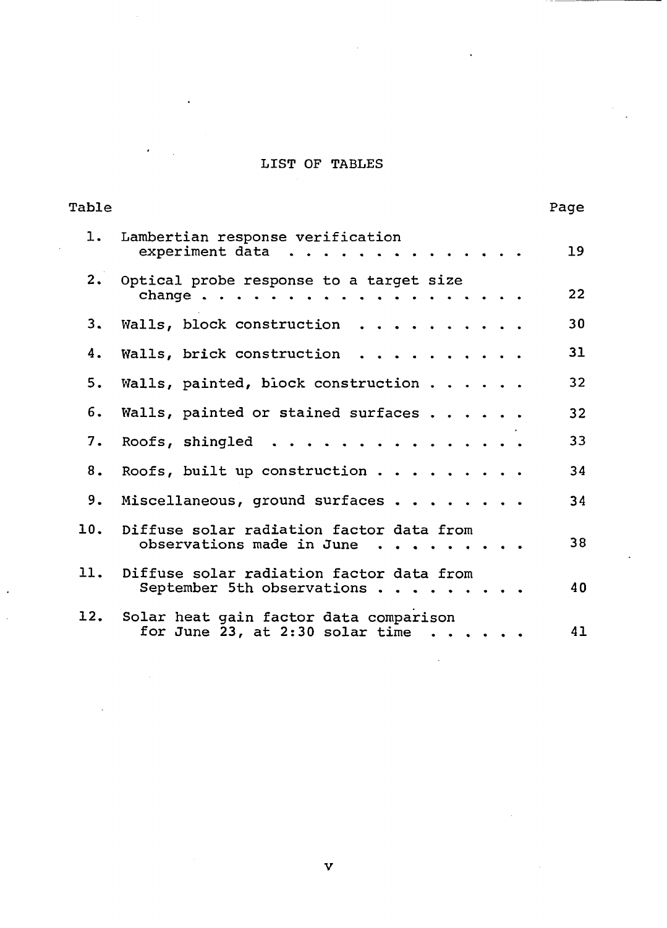## **LIST OF TABLES**

| Table |                                                                                          | Page            |
|-------|------------------------------------------------------------------------------------------|-----------------|
|       | 1. Lambertian response verification<br>experiment data                                   | 19              |
|       | 2. Optical probe response to a target size                                               | 22              |
|       | 3. Walls, block construction                                                             | 30              |
| 4.    | Walls, brick construction                                                                | 31              |
| 5.    | Walls, painted, block construction                                                       | 32 <sub>2</sub> |
| б.    | Walls, painted or stained surfaces                                                       | 32 <sub>2</sub> |
| 7.    | Roofs, shingled                                                                          | 33              |
| 8.    | Roofs, built up construction                                                             | 34              |
|       | 9. Miscellaneous, ground surfaces                                                        | 34              |
|       | 10. Diffuse solar radiation factor data from<br>observations made in June                | 38              |
|       | 11. Diffuse solar radiation factor data from<br>September 5th observations               | 40              |
|       | 12. Solar heat gain factor data comparison<br>for June 23, at 2:30 solar time $\cdots$ . | 41              |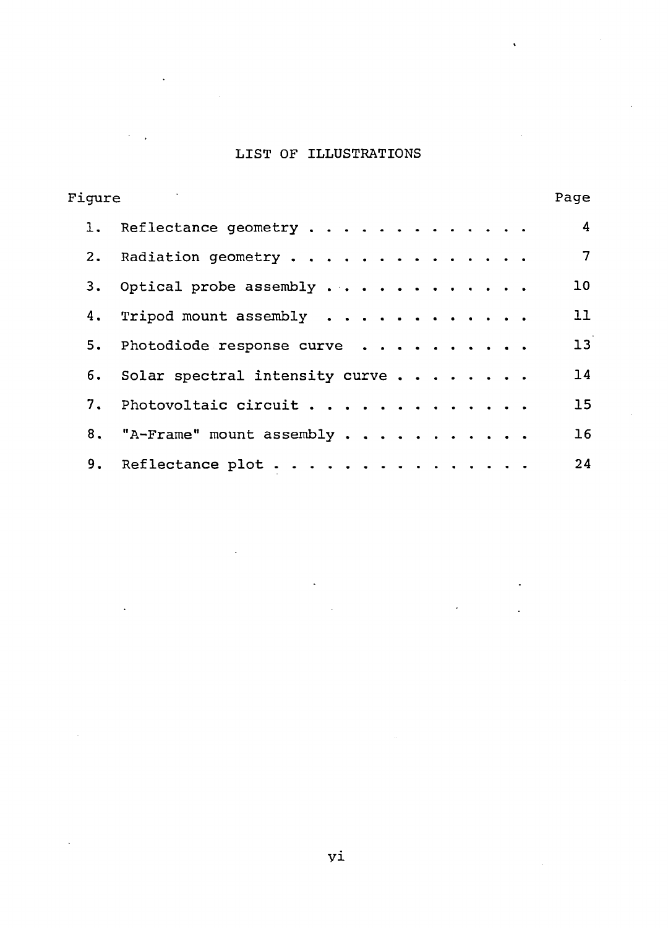#### **LIST OF ILLUSTRATIONS**

| Fiqure |                                   | Page            |
|--------|-----------------------------------|-----------------|
|        | 1. Reflectance geometry           | $\overline{4}$  |
|        | 2. Radiation geometry             | 7               |
|        | 3. Optical probe assembly         | 10 <sup>°</sup> |
|        | 4. Tripod mount assembly          | 11              |
|        | 5. Photodiode response curve      | 13              |
|        | 6. Solar spectral intensity curve | 14              |
|        | 7. Photovoltaic circuit           | 15              |
|        | 8. "A-Frame" mount assembly       | 16              |
|        | 9. Reflectance plot               | 24              |

**vi**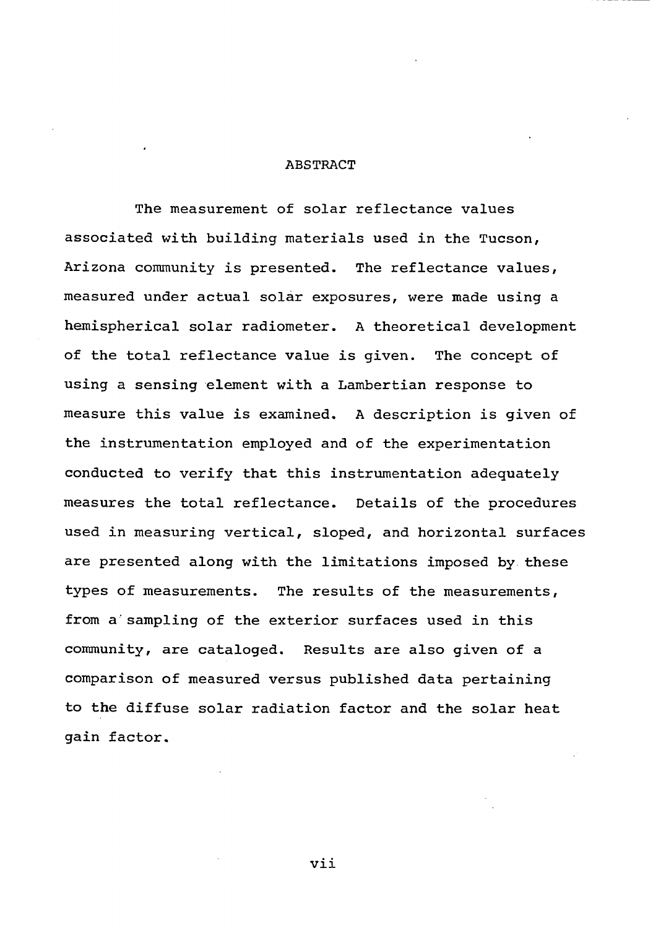#### <span id="page-6-0"></span>**ABSTRACT**

**The measurement of solar reflectance values associated with building materials used in the Tucson, Arizona community is presented. The reflectance values, measured under actual solar exposures, were made using a hemispherical solar radiometer. A theoretical development of the total reflectance value is given. The concept of using a sensing element with a Lambertian response to measure this value is examined. A description is given of the instrumentation employed and of the experimentation conducted to verify that this instrumentation adequately measures the total reflectance. Details of the procedures used in measuring vertical, sloped, and horizontal surfaces are presented along with the limitations imposed by these types of measurements. The results of the measurements,** from a sampling of the exterior surfaces used in this **community, are cataloged. Results are also given of a comparison of measured versus published data pertaining to the diffuse solar radiation factor and the solar heat gain factor.**

**vii**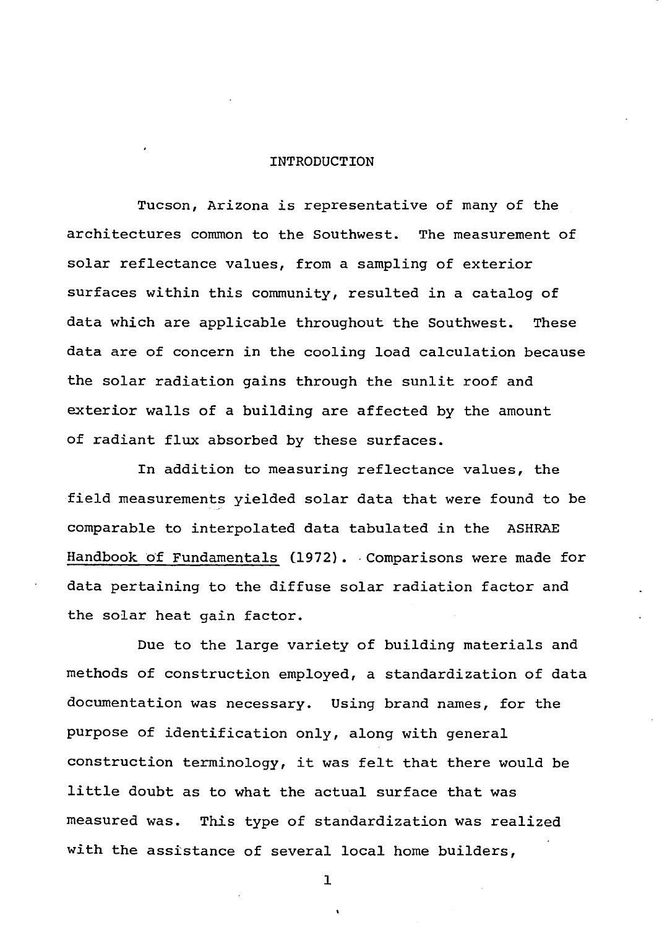#### <span id="page-7-0"></span>**INTRODUCTION**

**Tucson, Arizona is representative of many of the architectures common to the Southwest. The measurement of solar reflectance values, from a sampling of exterior surfaces within this community, resulted in a catalog of data which are applicable throughout the Southwest. These data are of concern in the cooling load calculation because the solar radiation gains through the sunlit roof and exterior walls of a building are affected by the amount of radiant flux absorbed by these surfaces.**

**In addition to measuring reflectance values, the field measurements yielded solar data that were found to be comparable to interpolated data tabulated in the ASHRAE Handbook of Fundamentals (1972). • Comparisons were made for data pertaining to the diffuse solar radiation factor and the solar heat gain factor.**

**Due to the large variety of building materials and methods of construction employed, a standardization of data documentation was necessary. Using brand names, for the purpose of identification only, along with general construction terminology, it was felt that there would be little doubt as to what the actual surface that was measured was. This type of standardization was realized with the assistance of several local home builders,**

**1**

**t.**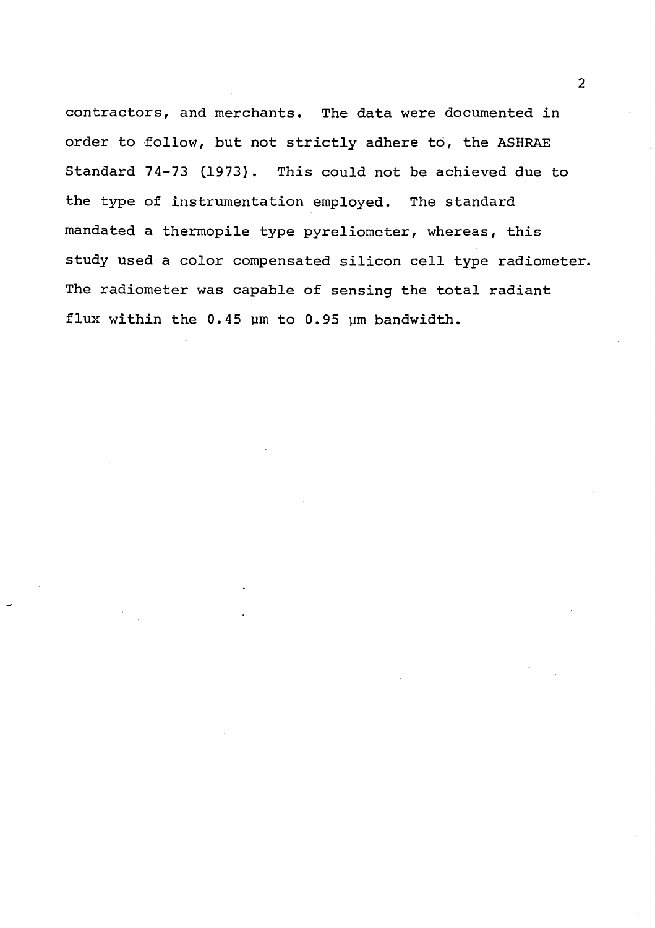**contractors, and merchants. The data were documented in order to follow, but not strictly adhere to, the ASHRAE Standard 74-73 (1973}. This could not be achieved due to the type of instrumentation employed. The standard mandated a thermopile type pyreliometer, whereas, this study used a color compensated silicon cell type radiometer. The radiometer was capable of sensing the total radiant flux within the 0.45 ym to 0.95 ym bandwidth.**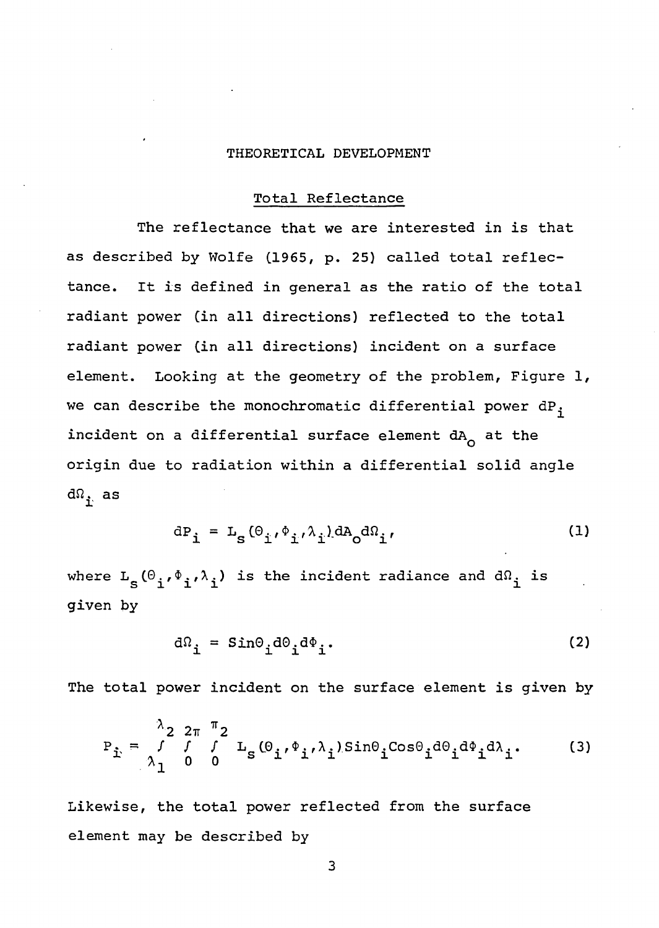#### <span id="page-9-0"></span>**THEORETICAL DEVELOPMENT**

#### **Total Reflectance**

**The reflectance that we are interested in is that as described by Wolfe (1965, p. 25) called total reflectance. It is defined in general as the ratio of the total radiant power (in all directions) reflected to the total radiant power (in all directions) incident on a surface element. Looking at the geometry of the problem. Figure 1, we can describe the monochromatic differential power dP^** incident on a differential surface element dA<sub>0</sub> at the **origin due to radiation within a differential solid angle**  $d\Omega$ <sub>i.</sub> as

$$
dP_{\mathbf{i}} = L_{\mathbf{S}}(\Theta_{\mathbf{i}}, \Phi_{\mathbf{i}}, \lambda_{\mathbf{i}}) dA_{\mathbf{O}} d\Omega_{\mathbf{i}}, \qquad (1)
$$

<span id="page-9-1"></span>where  $L_S(\theta_i, \phi_i, \lambda_i)$  is the incident radiance and d $\Omega_i$  is **given by**

$$
d\Omega_{\mathbf{i}} = \text{Sin}\Theta_{\mathbf{i}}d\Theta_{\mathbf{i}}d\Phi_{\mathbf{i}}.
$$
 (2)

**The total power incident on the surface element is given by**

$$
P_{\hat{\mathbf{i}}} = \begin{pmatrix} \lambda_2 & 2\pi & \pi_2 \\ f & f & \mu_s & (\theta_{\hat{\mathbf{i}}}, \phi_{\hat{\mathbf{i}}}, \lambda_{\hat{\mathbf{i}}}) \sin\theta_{\hat{\mathbf{i}}} \cos\theta_{\hat{\mathbf{i}}} d\theta_{\hat{\mathbf{i}}} d\phi_{\hat{\mathbf{i}}} d\lambda_{\hat{\mathbf{i}}} \\ \lambda_1 & 0 & 0 \end{pmatrix}
$$
 (3)

**Likewise, the total power reflected from the surface element may be described by**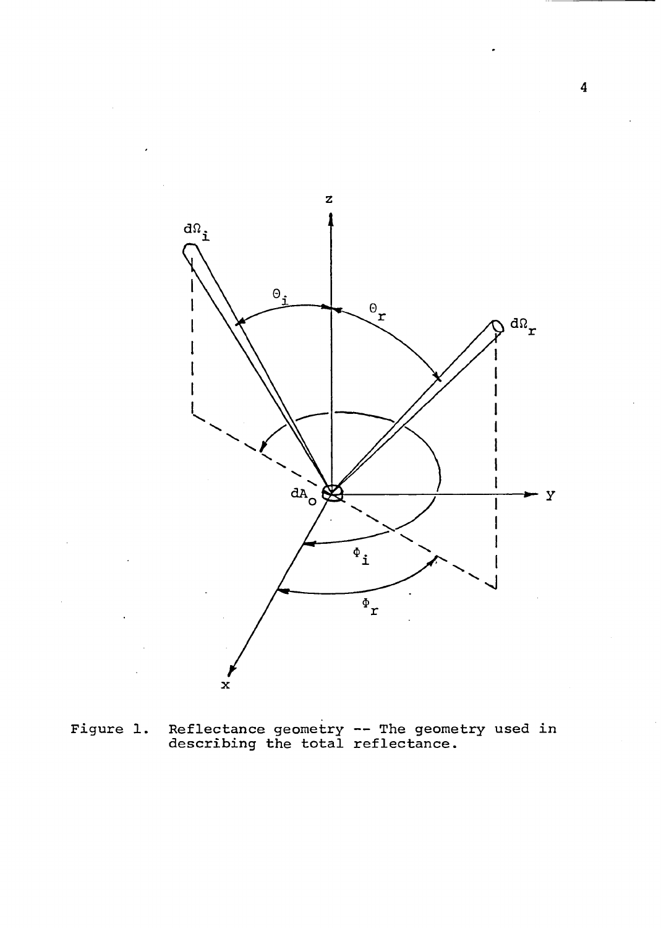

**Figure 1 Reflectance geometry — The geometry used in describing the total reflectance.**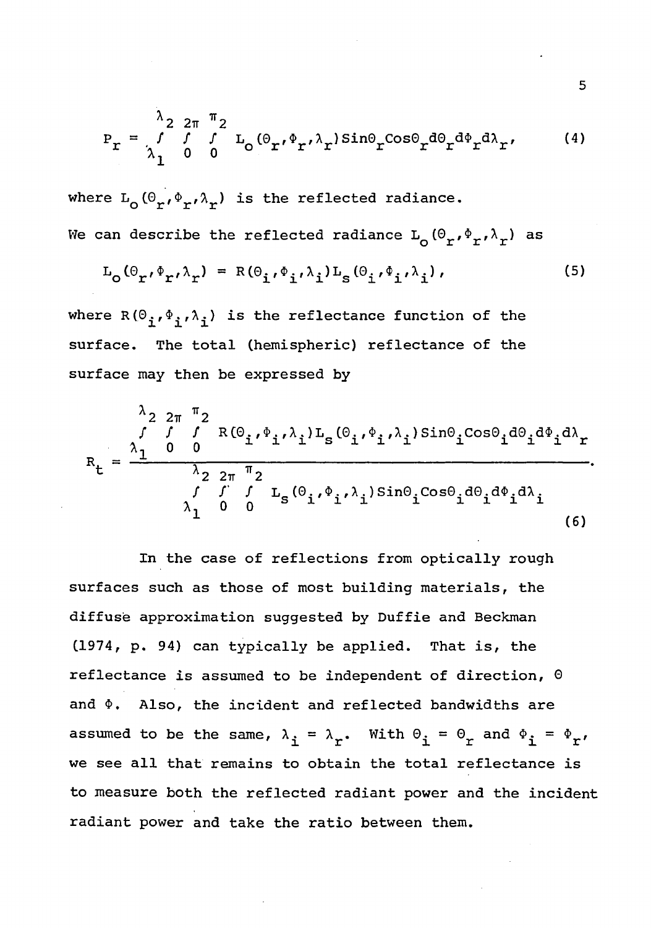$$
P_{r} = \frac{\lambda_{2}}{\lambda_{1}} \frac{2\pi}{0} \frac{\pi_{2}}{0} L_{0} (\theta_{r'} \phi_{r'} \lambda_{r}) \sin \theta_{r} \cos \theta_{r} d\theta_{r} d\lambda_{r'}
$$
 (4)

where  $L_{\alpha}(\Theta_{\mathbf{r}}, \Phi_{\mathbf{r}}, \lambda_{\mathbf{r}})$  is the reflected radiance. We can describe the reflected radiance  $L_{\alpha}(\theta_r, \phi_r, \lambda_r)$  as

$$
L_{O}(\Theta_{r'}\Phi_{r'}\lambda_{r}) = R(\Theta_{i'}\Phi_{i'}\lambda_{i})L_{S}(\Theta_{i'}\Phi_{i'}\lambda_{i}), \qquad (5)
$$

where  $R(\Theta_{\mathbf{i}}, \Phi_{\mathbf{i}}, \lambda_{\mathbf{i}})$  is the reflectance function of the **surface. The total (hemispheric) reflectance of the surface may then be expressed by**

$$
R_{t} = \frac{\frac{\lambda_{22\pi} \pi_{2}}{\int f f R(\Theta_{i}, \Phi_{i}, \lambda_{i}) L_{s}(\Theta_{i}, \Phi_{i}, \lambda_{i}) Sin\Theta_{i} Cos\Theta_{i} d\Theta_{i} d\Phi_{i} d\lambda_{r}}{\frac{\lambda_{22\pi} \pi_{2}}{\lambda_{1} 0 0} \times \frac{f f f L_{s}(\Theta_{i}, \Phi_{i}, \lambda_{i}) Sin\Theta_{i} Cos\Theta_{i} d\Theta_{i} d\Phi_{i} d\lambda_{i}}.
$$
\n(6)

**In the case of reflections from optically rough surfaces such as those of most building materials, the diffuse approximation suggested by Duffie and Beckman (1974, p. 94) can typically be applied. That is, the reflectance is assumed to be independent of direction, 0 and \$. Also, the incident and reflected bandwidths are** assumed to be the same,  $\lambda_i = \lambda_r$ . With  $\theta_i = \theta_r$  and  $\phi_i = \phi_r$ , **we see all that remains to obtain the total reflectance is to measure both the reflected radiant power and the incident radiant power and take the ratio between them.**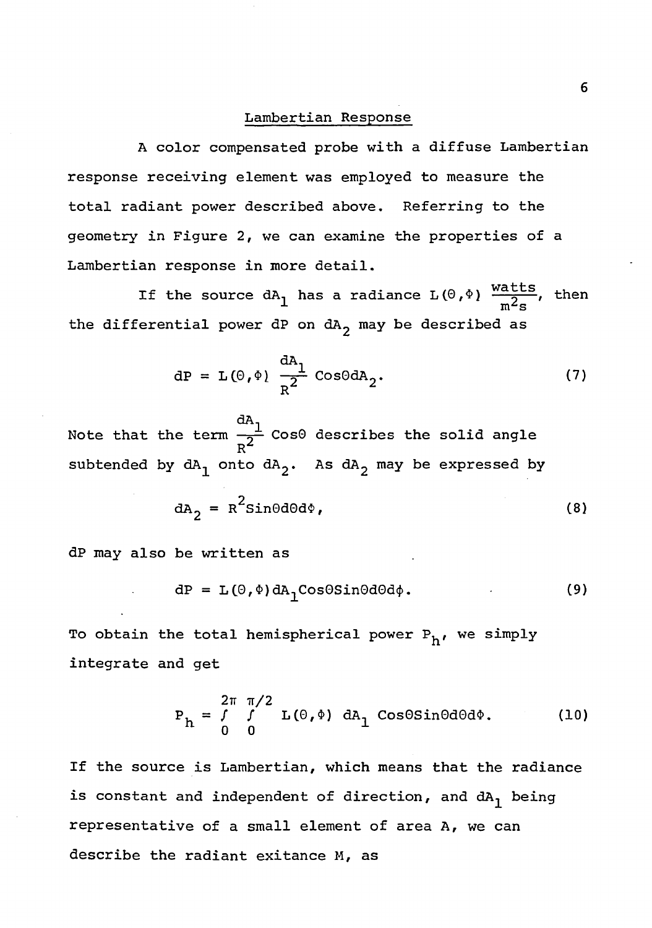#### **Lambertian Response**

**A color compensated probe with a diffuse Lambertian response receiving element was employed to measure the total radiant power described above. Referring to the geometry in Figure 2, we can examine the properties of a Lambertian response in more detail.**

If the source  $dA_1$  has a radiance  $L(\theta, \phi)$   $\frac{m\cos\theta}{2}$ , then **x m zs the differential power dP on dAg may be described as**

$$
dP = L(\theta, \phi) \frac{dA_1}{R^2} \cos\theta dA_2.
$$
 (7)

**dA Note that the term —0— Cos0 describes the solid angle Rz** subtended by  $dA_1$  onto  $dA_2$ . As  $dA_2$  may be expressed by

$$
dA_2 = R^2 \sin\theta d\theta d\phi, \qquad (8)
$$

**dP may also be written as**

$$
dP = L(\Theta, \Phi) dA_1 \cos\Theta \sin\Theta d\Theta d\phi. \qquad (9)
$$

To obtain the total hemispherical power P<sub>h</sub>, we simply **integrate and get**

$$
P_h = \int_{0}^{2\pi} \int_{0}^{\pi/2} L(\theta, \phi) dA_1 \cos\theta \sin\theta d\theta d\phi.
$$
 (10)

**If the source is Lambertian, which means that the radiance is constant and independent of direction, and dA^ being representative of a small element of area A, we can describe the radiant exitance M, as**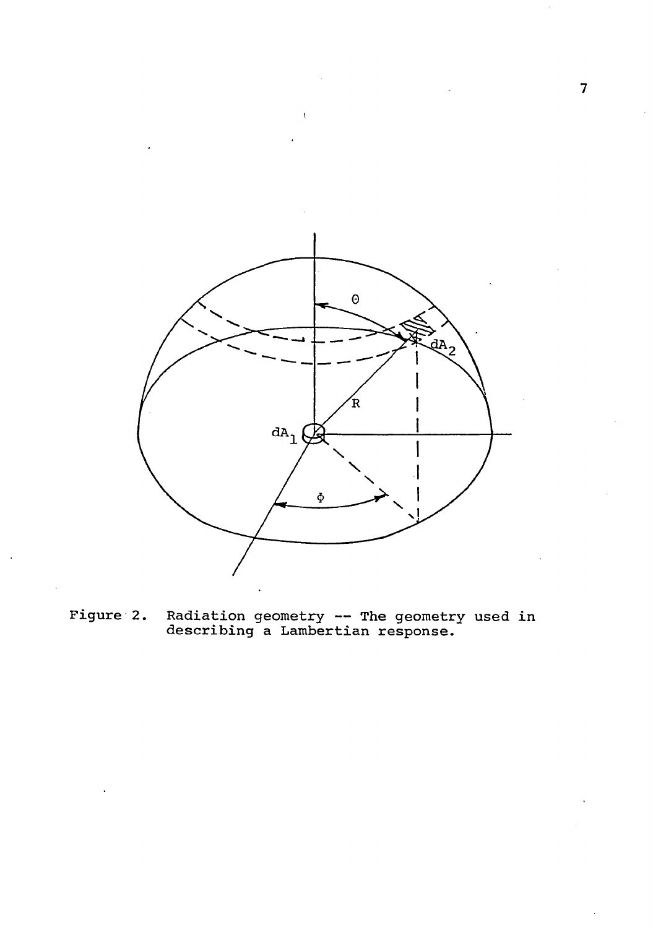

**Figure 2. Radiation geometry — The geometry used in describing a Lambertian response.**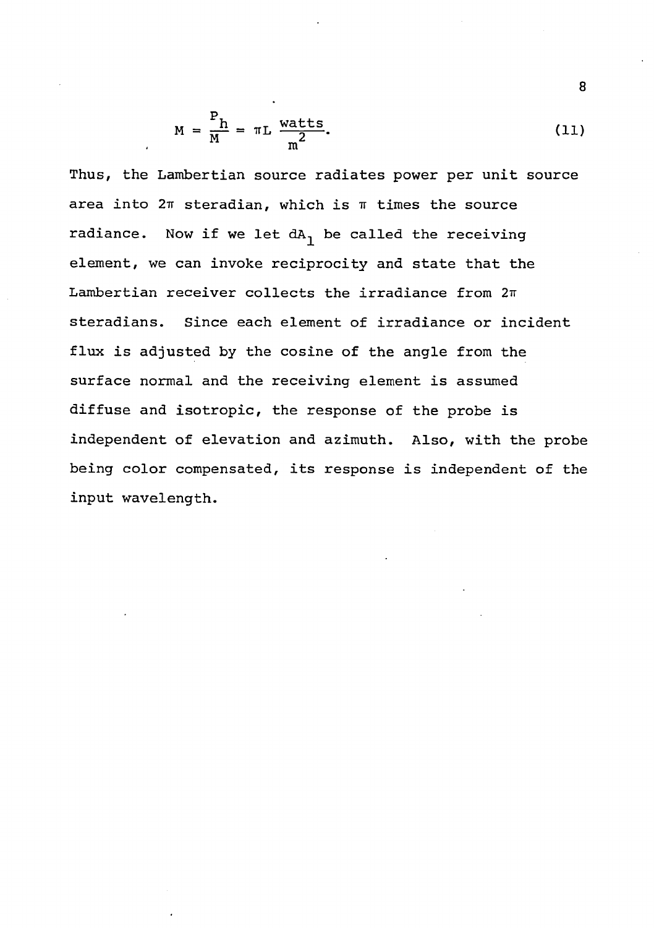$$
M = \frac{P_h}{M} = \pi L \frac{watts}{m^2}.
$$
 (11)

**Thus, the Lambertian source radiates power per unit source area into 2tt steradian, which is it times the source radiance. Now if we let dA^ be called the receiving element, we can invoke reciprocity and state that the** Lambertian receiver collects the irradiance from  $2\pi$ **steradians. Since each element of irradiance or incident flux is adjusted by the cosine of the angle from the surface normal and the receiving element is assumed diffuse and isotropic, the response of the probe is independent of elevation and azimuth. Also, with the probe being color compensated, its response is independent of the input wavelength.**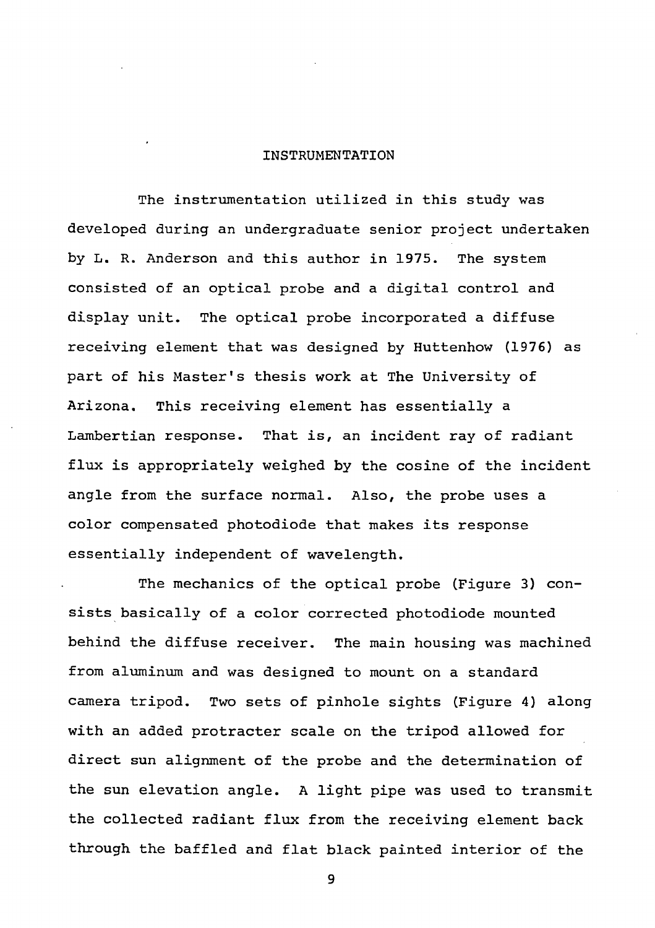#### <span id="page-15-0"></span>**INSTRUMENTATION**

**The instrumentation utilized in this study was developed during an undergraduate senior project undertaken by L. R. Anderson and this author in 1975. The system consisted of an optical probe and a digital control and display unit. The optical probe incorporated a diffuse receiving element that was designed by Huttenhow (1976) as part of his Master's thesis work at The University of Arizona. This receiving element has essentially a Lambertian response. That is, an incident ray of radiant flux is appropriately weighed by the cosine of the incident angle from the surface normal. Also, the probe uses a color compensated photodiode that makes its response essentially independent of wavelength.**

**The mechanics of the optical probe (Figure 3) consists basically of a color corrected photodiode mounted behind the diffuse receiver. The main housing was machined from aluminum and was designed to mount on a standard camera tripod. Two sets of pinhole sights (Figure 4) along with an added protracter scale on the tripod allowed for direct sun alignment of the probe and the determination of the sun elevation angle. A light pipe was used to transmit the collected radiant flux from the receiving element back through the baffled and flat black painted interior of the**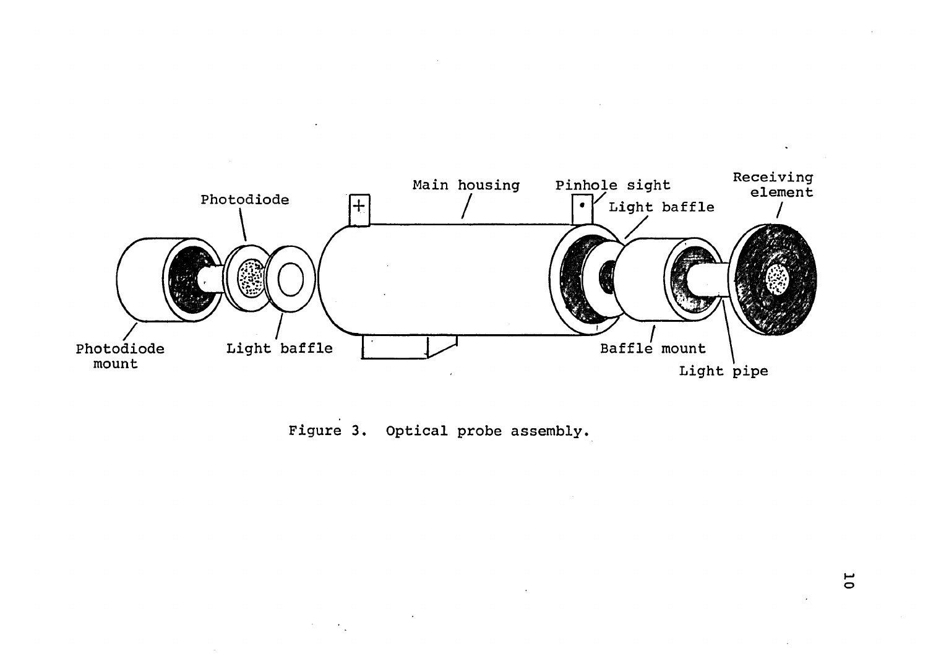

**Figure 3. Optical probe assembly.**

 $\ddot{\phantom{1}}$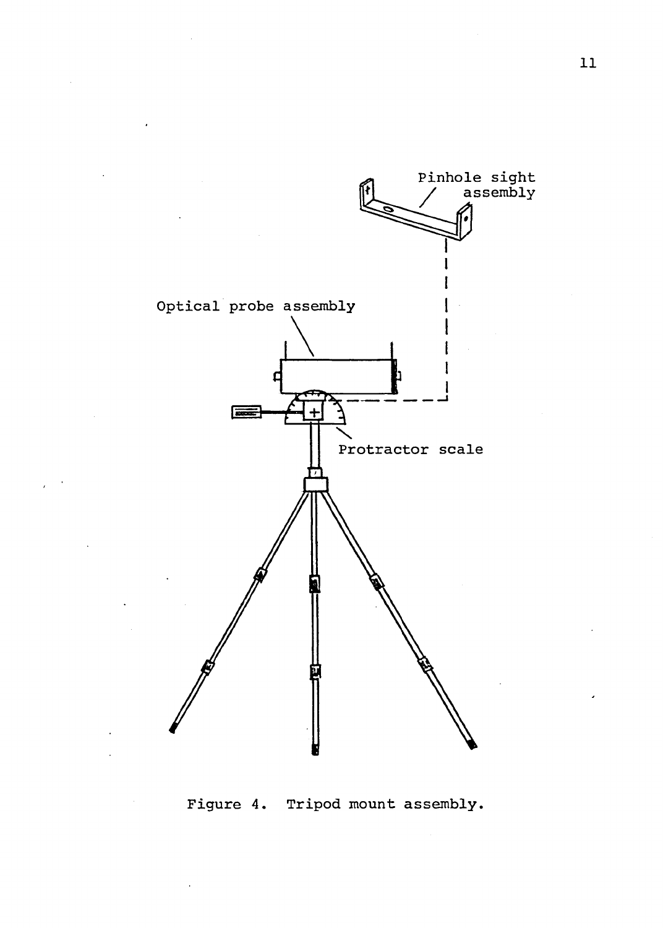

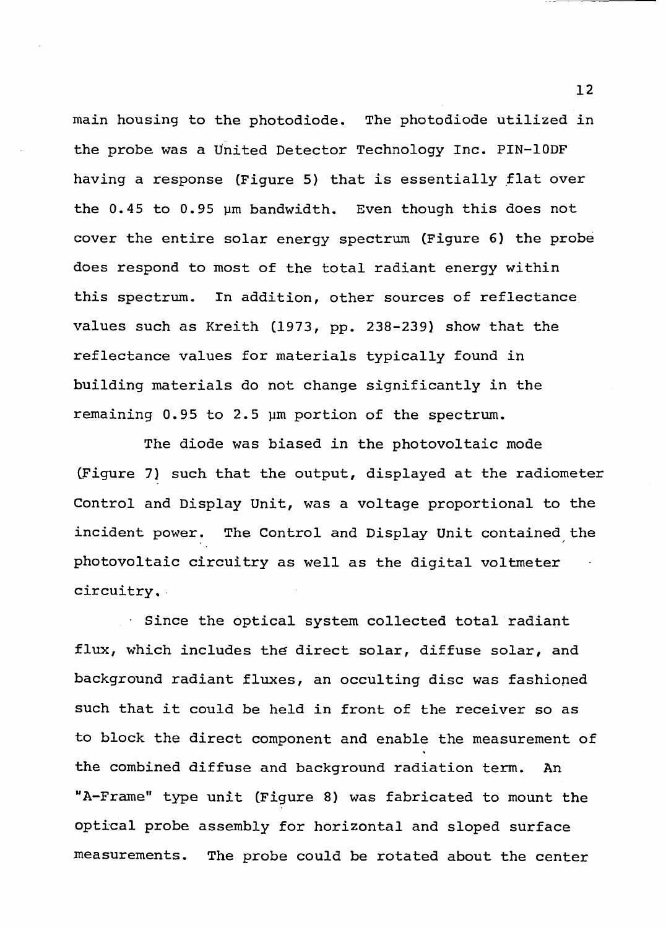**main housing to the photodiode. The photodiode utilized in the probe was a United Detector Technology Inc. PIN-10DF having a response (Figure 5) that is essentially flat over the 0.45 to 0.95 ym bandwidth. Even though this does not cover the entire solar energy spectrum (Figure 6) the probe does respond to most of the total radiant energy within this spectrum. In addition, other sources of reflectance values such as Kreith (1973, pp. 238-239) show that the reflectance values for materials typically found in building materials do not change significantly in the remaining 0.95 to 2.5 ym portion of the spectrum.**

**The diode was biased in the photovoltaic mode (Figure 7) such that the output, displayed at the radiometer Control and Display Unit, was a voltage proportional to the incident power. The Control and Display Unit contained the photovoltaic circuitry as well as the digital voltmeter circuitry,**

**• Since the optical system collected total radiant flux, which includes the direct solar, diffuse solar, and background radiant fluxes, an occulting disc was fashioped such that it could be held in front of the receiver so as to block the direct component and enable the measurement of the combined diffuse and background radiation term. An "A-Frame" type unit (Figure 8) was fabricated to mount the optical probe assembly for horizontal and sloped surface measurements. The probe could be rotated about the center**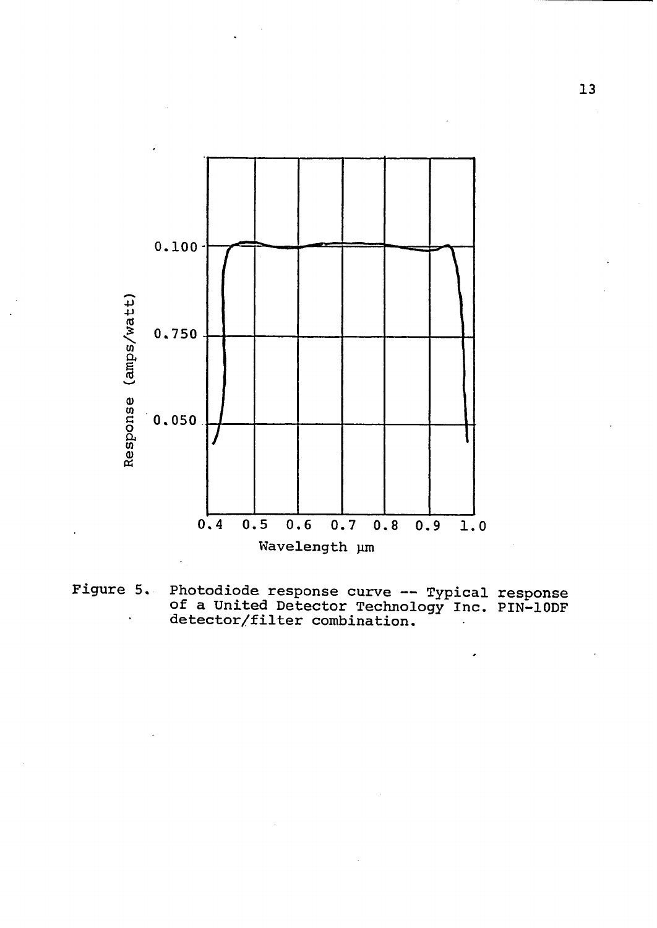

**Figure 5. Photodiode response curve — Typical response of a United Detector Technology Inc. PIN-10DF detector/filter combination.**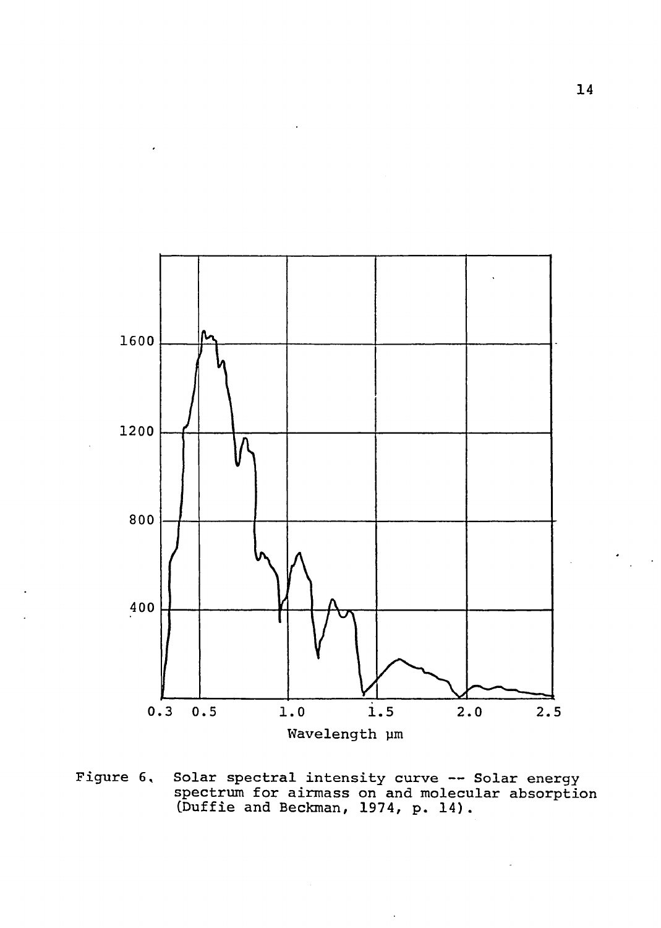

**Figure 6, Solar spectral intensity curve — Solar energy spectrum for airmass on and molecular absorption (Puffie and Beckman, 1974, p. 14).**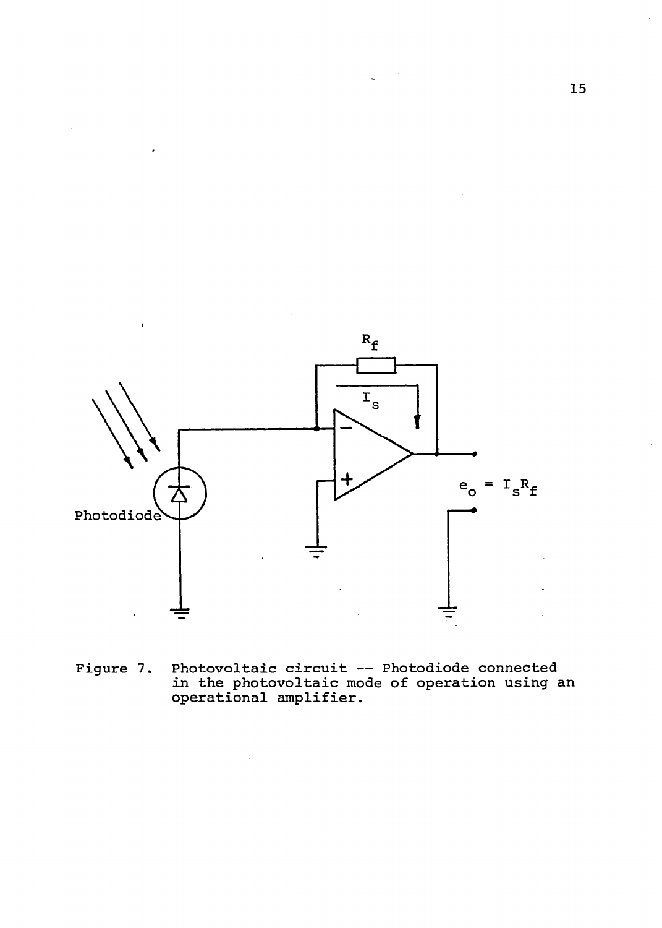

**Photovoltaic circuit — Photodiode connected in the photovoltaic mode of operation using an operational amplifier. Figure 7.**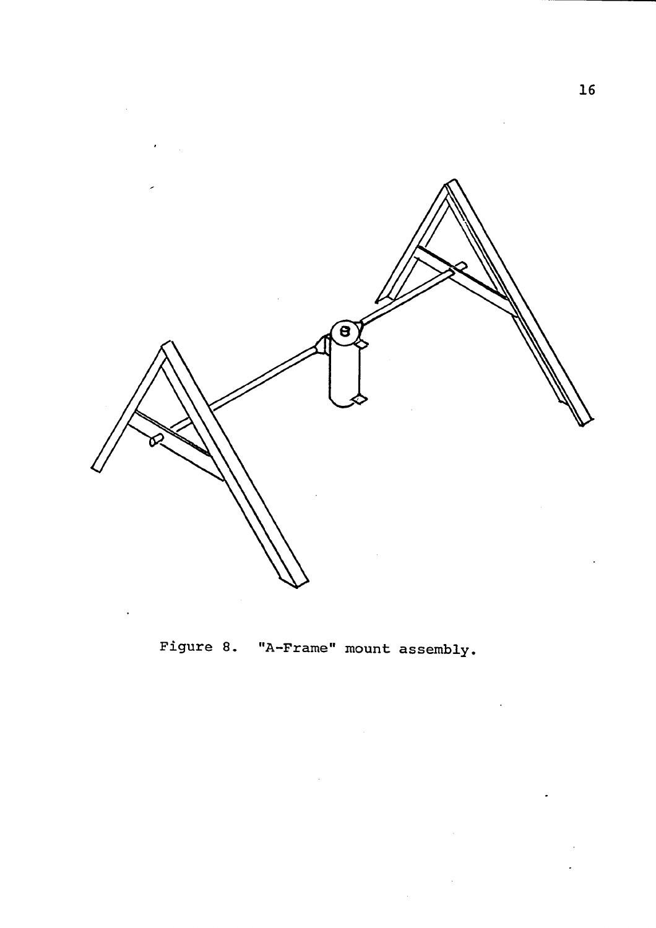

**Figure 8. "A-Frame" mount assembly.**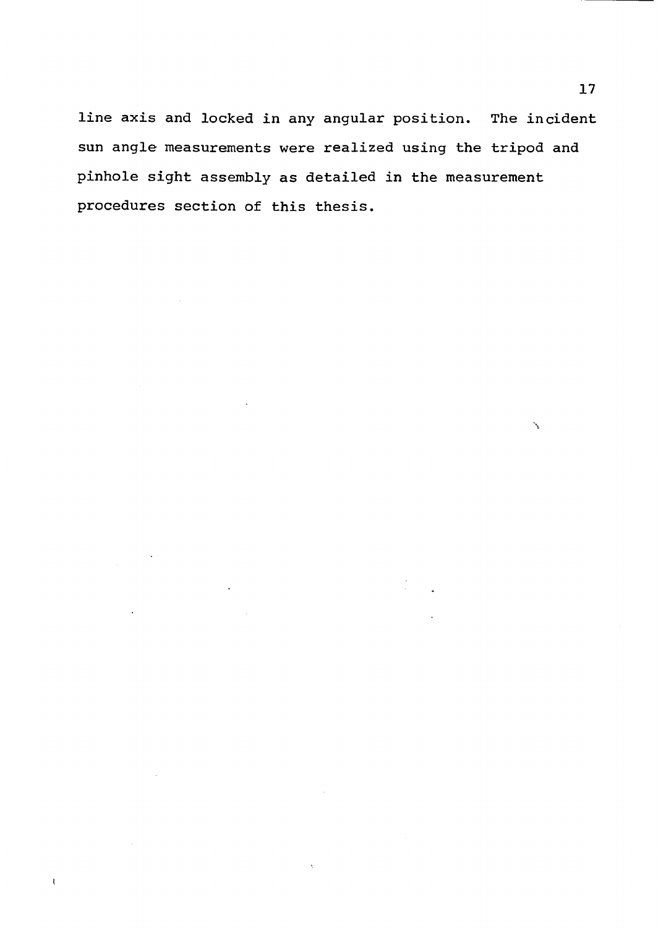**line axis and locked in any angular position. The incident sun angle measurements were realized using the tripod and pinhole sight assembly as detailed in the measurement procedures section of this thesis.**

 $\mathbf{t}$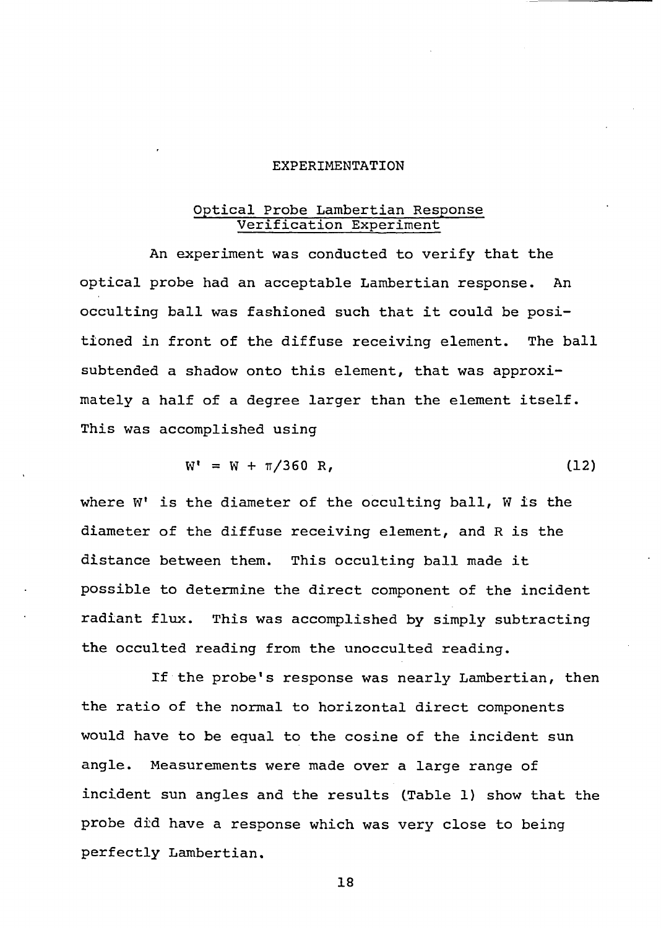#### <span id="page-24-0"></span>**EXPERIMENTATION**

### **Optical Probe Lambertian Response Verification Experiment**

**An experiment was conducted to verify that the optical probe had an acceptable Lambertian response. An occulting ball was fashioned such that it could be positioned in front of the diffuse receiving element. The ball subtended a shadow onto this element, that was approximately a half of a degree larger than the element itself. This was accomplished using**

$$
W' = W + \pi/360 R, \qquad (12)
$$

**where W is the diameter of the occulting ball, W is the diameter of the diffuse receiving element, and R is the distance between them. This occulting ball made it possible to determine the direct component of the incident radiant flux. This was accomplished by simply subtracting the occulted reading from the unocculted reading.**

**If the probe's response was nearly Lambertian, then the ratio of the normal to horizontal direct components would have to be equal to the cosine of the incident sun angle. Measurements were made over a large range of incident sun angles and the results (Table 1) show that the probe did have a response which was very close to being perfectly Lambertian.**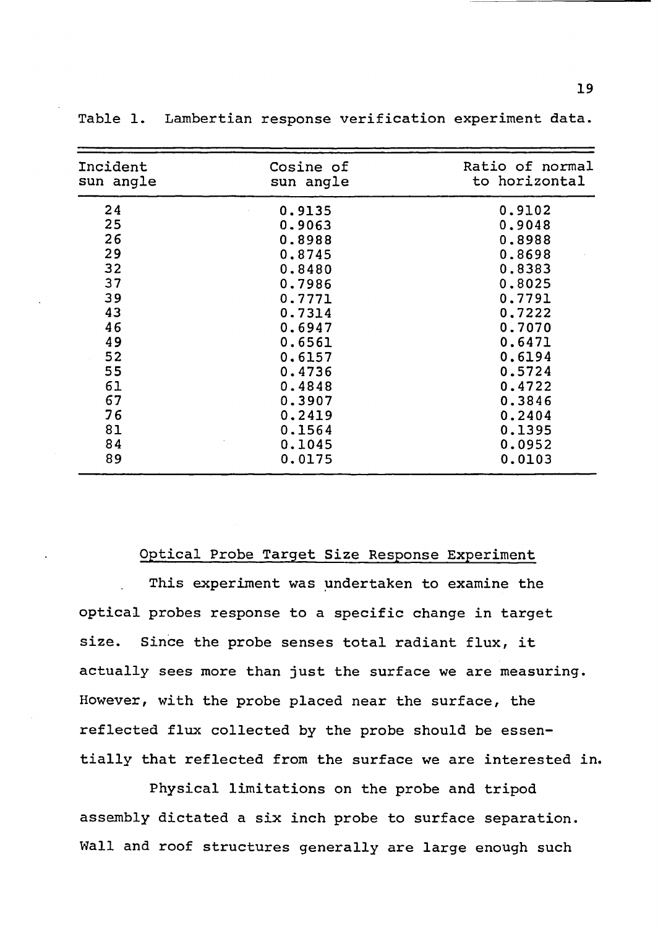| Incident<br>sun angle | Cosine of<br>sun angle | Ratio of normal<br>to horizontal |
|-----------------------|------------------------|----------------------------------|
| 24                    | 0.9135                 | 0.9102                           |
| 25                    | 0.9063                 | 0.9048                           |
| 26                    | 0.8988                 | 0.8988                           |
| 29                    | 0.8745                 | 0.8698                           |
| 32                    | 0.8480                 | 0.8383                           |
| 37                    | 0.7986                 | 0.8025                           |
| 39                    | 0.7771                 | 0.7791                           |
| 43                    | 0.7314                 | 0.7222                           |
| 46                    | 0.6947                 | 0.7070                           |
| 49                    | 0.6561                 | 0.6471                           |
| 52                    | 0.6157                 | 0.6194                           |
| 55                    | 0.4736                 | 0.5724                           |
| 61                    | 0.4848                 | 0.4722                           |
| 67                    | 0.3907                 | 0.3846                           |
| 76                    | 0.2419                 | 0.2404                           |
| 81                    | 0.1564                 | 0.1395                           |
| 84                    | 0.1045                 | 0.0952                           |
| 89                    | 0.0175                 | 0.0103                           |

**Table 1. Lambertian response verification experiment data.**

#### **Optical Probe Target Size Response Experiment**

**This experiment was undertaken to examine the optical probes response to a specific change in target size. Since the probe senses total radiant flux, it actually sees more than just the surface we are measuring. However, with the probe placed near the surface, the reflected flux collected by the probe should be essentially that reflected from the surface we are interested in.**

**Physical limitations on the probe and tripod assembly dictated a six inch probe to surface separation. Wall and roof structures generally are large enough such**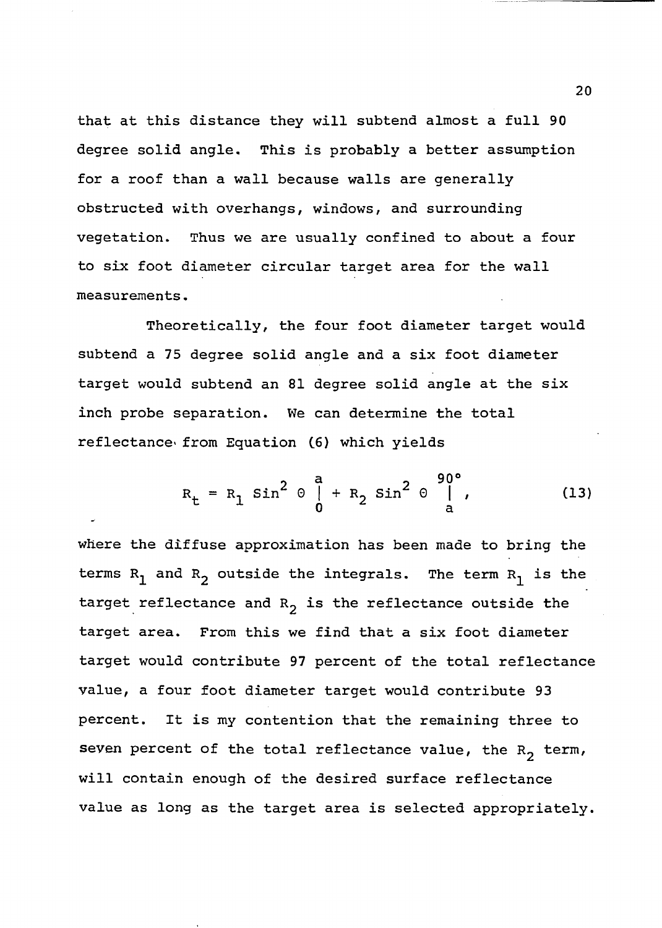**that at this distance they will subtend almost a full 90 degree solid angle. This is probably a better assumption for a roof than a wall because walls are generally obstructed with overhangs, windows, and surrounding vegetation. Thus we are usually confined to about a four to six foot diameter circular target area for the wall measurements.**

**Theoretically, the four foot diameter target would subtend a 75 degree solid angle and a six foot diameter target would subtend an 81 degree solid angle at the six inch probe separation. We can determine the total reflectance- from Equation (6) which yields**

$$
R_{t} = R_{1} \sin^{2} \theta \int_{0}^{a} + R_{2} \sin^{2} \theta \int_{a}^{90^{\circ}} ,
$$
 (13)

**where the diffuse approximation has been made to bring the** terms  $R_1$  and  $R_2$  outside the integrals. The term  $R_1$  is the target reflectance and R<sub>2</sub> is the reflectance outside the **target area. From this we find that a six foot diameter target would contribute 97 percent of the total reflectance value, a four foot diameter target would contribute 93 percent. It is my contention that the remaining three to** seven percent of the total reflectance value, the R<sub>2</sub> term, **will contain enough of the desired surface reflectance value as long as the target area is selected appropriately.**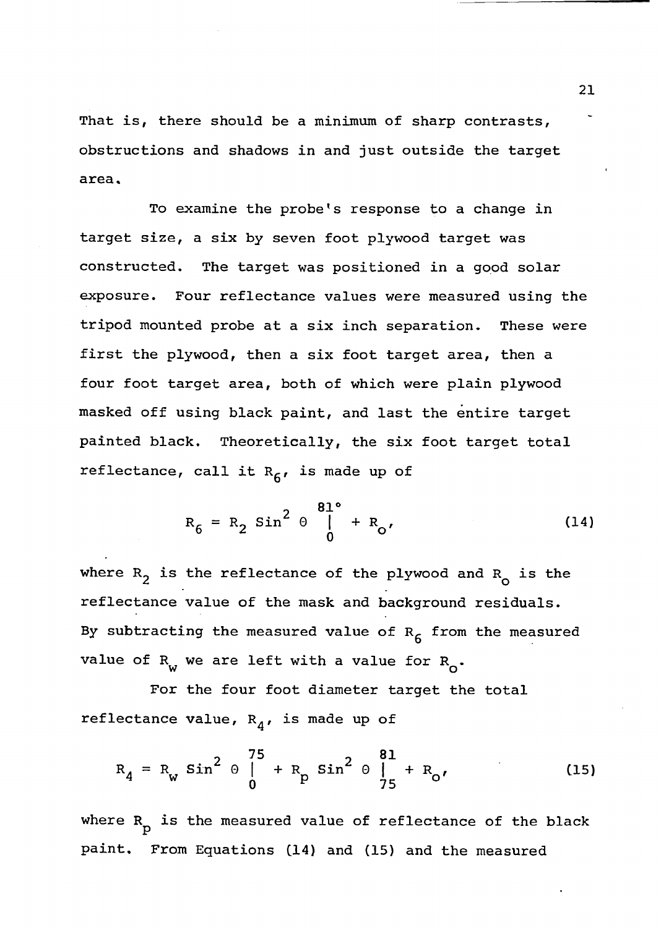**That is, there should be a minimum of sharp contrasts, obstructions and shadows in and just outside the target area.**

**To examine the probe's response to a change in target size, a six by seven foot plywood target was constructed. The target was positioned in a good solar exposure. Four reflectance values were measured using the tripod mounted probe at a six inch separation. These were first the plywood, then a six foot target area, then a four foot target area, both of which were plain plywood masked off using black paint, and last the entire target painted black. Theoretically, the six foot target total reflectance, call it Rg, is made up of**

$$
R_6 = R_2 \sin^2 \theta \bigg|_0^{\frac{81^{\circ}}{1}} + R_0,
$$
 (14)

**where R^ is the reflectance of the plywood and Rq is the reflectance value of the mask and background residuals. By subtracting the measured value of Rg from the measured value of R<sub>w</sub> we are left with a value for R<sub>O</sub>.** 

**For the four foot diameter target the total reflectance value, R^, is made up of**

$$
R_{4} = R_{w} \sin^{2} \theta \Big|_{0}^{75} + R_{p} \sin^{2} \theta \Big|_{75}^{81} + R_{0}, \qquad (15)
$$

**where R is the measured value of reflectance of the black P paint. From Equations (14) and (15) and the measured**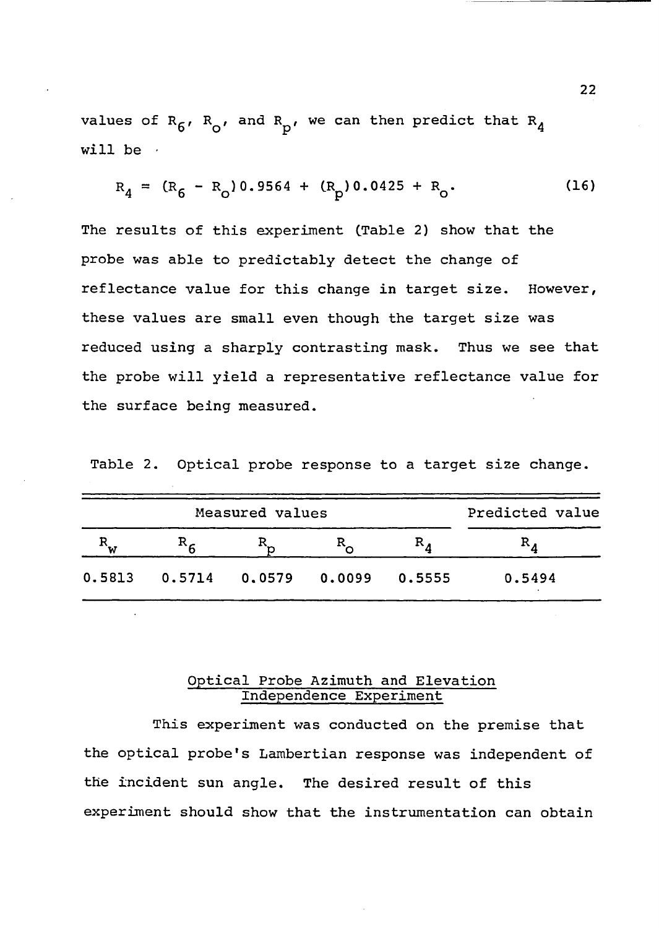values of  $R_6$ ,  $R_0$ , and  $R_p$ , we can then predict that  $R_4$ **will be •**

$$
R_4 = (R_6 - R_0) 0.9564 + (R_p) 0.0425 + R_0.
$$
 (16)

**The results of this experiment (Table 2) show that the probe was able to predictably detect the change of reflectance value for this change in target size. However, these values are small even though the target size was reduced using a sharply contrasting mask. Thus we see that the probe will yield a representative reflectance value for the surface being measured.**

**Table 2. Optical probe response to a target size change.**

| Measured values |                        |  |  | Predicted value |        |
|-----------------|------------------------|--|--|-----------------|--------|
|                 |                        |  |  | $R_{\rm A}$     |        |
| 0.5813          | $0.5714$ 0.0579 0.0099 |  |  | 0.5555          | 0.5494 |

## **Optical Probe Azimuth and Elevation Independence Experiment**

**This experiment was conducted on the premise that the optical probe's Lambertian response was independent of the incident sun angle. The desired result of this experiment should show that the instrumentation can obtain**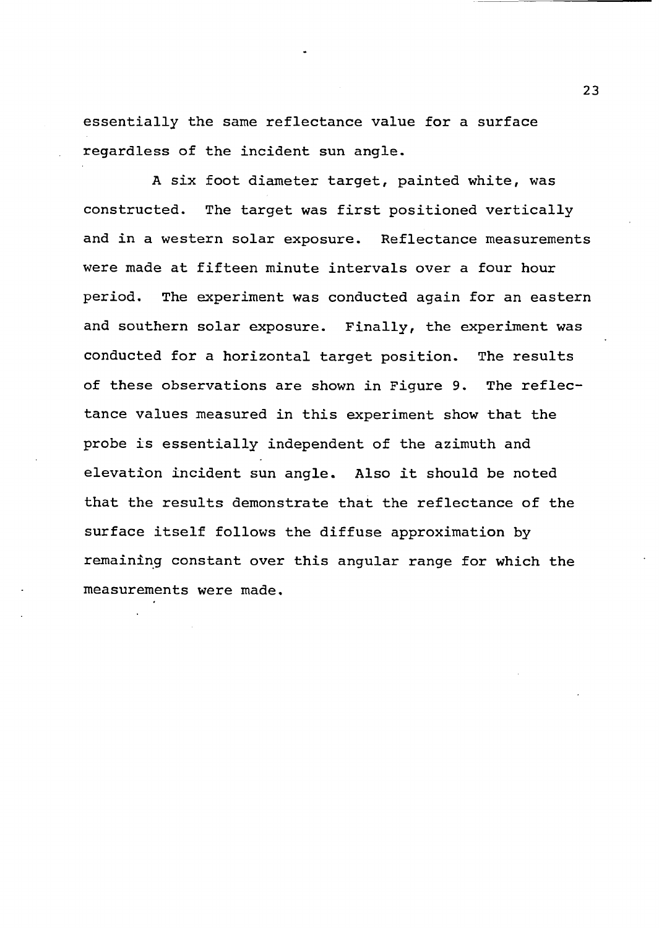**essentially the same reflectance value for a surface regardless of the incident sun angle.**

**A six foot diameter target, painted white, was constructed. The target was first positioned vertically and in a western solar exposure. Reflectance measurements were made at fifteen minute intervals over a four hour period. The experiment was conducted again for an eastern and southern solar exposure. Finally, the experiment was conducted for a horizontal target position. The results of these observations are shown in Figure 9. The reflectance values measured in this experiment show that the probe is essentially independent of the azimuth and elevation incident sun angle. Also it should be noted that the results demonstrate that the reflectance of the surface itself follows the diffuse approximation by remaining constant over this angular range for which the measurements were made.**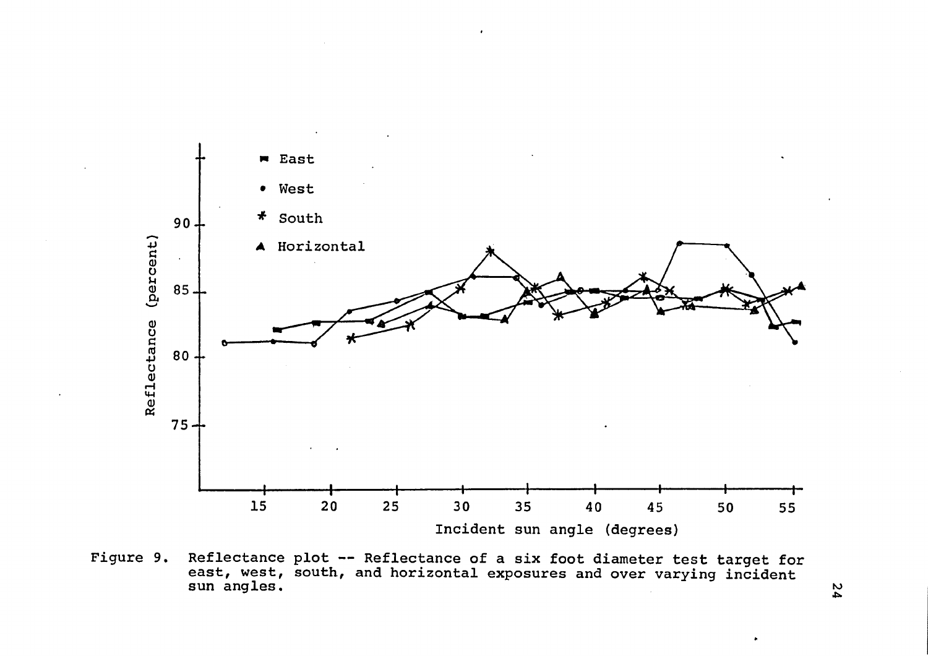

**Figure 9. Reflectance plot — Reflectance of a six foot diameter test target for east, west, south, and horizontal exposures and over varying incident sun angles.**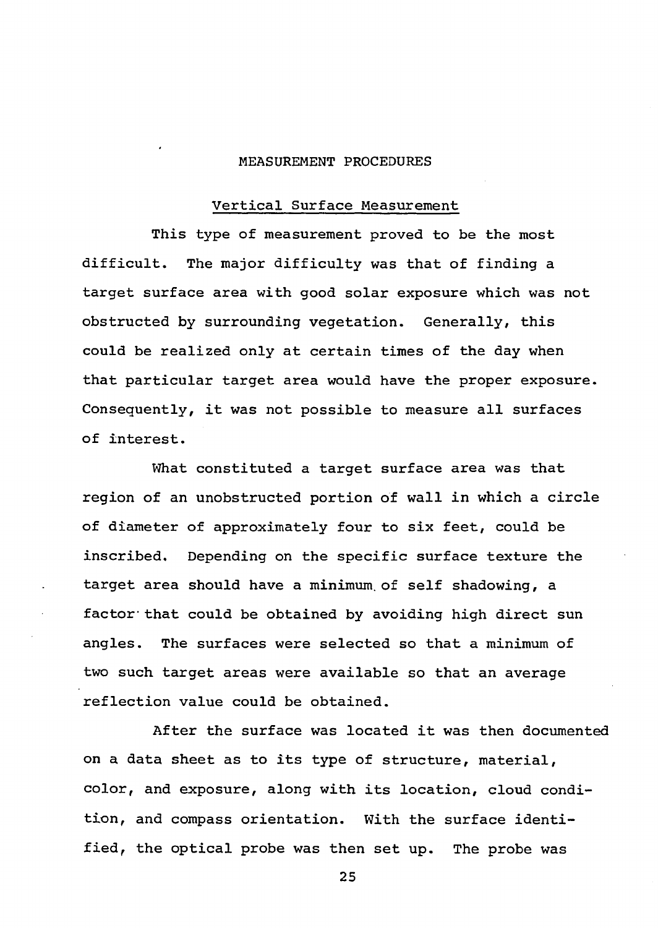### <span id="page-31-0"></span>**MEASUREMENT PROCEDURES**

#### **Vertical Surface Measurement**

**This type of measurement proved to be the most difficult. The major difficulty was that of finding a target surface area with good solar exposure which was not obstructed by surrounding vegetation. Generally, this could be realized only at certain times of the day when that particular target area would have the proper exposure. Consequently, it was not possible to measure all surfaces of interest.**

**What constituted a target surface area was that region of an unobstructed portion of wall in which a circle of diameter of approximately four to six feet, could be inscribed. Depending on the specific surface texture the target area should have a minimum, of self shadowing, a factor that could be obtained by avoiding high direct sun angles. The surfaces were selected so that a minimum of two such target areas were available so that an average reflection value could be obtained.**

**After the surface was located it was then documented on a data sheet as to its type of structure, material, color, and exposure, along with its location, cloud condition, and compass orientation. With the surface identified, the optical probe was then set up. The probe was**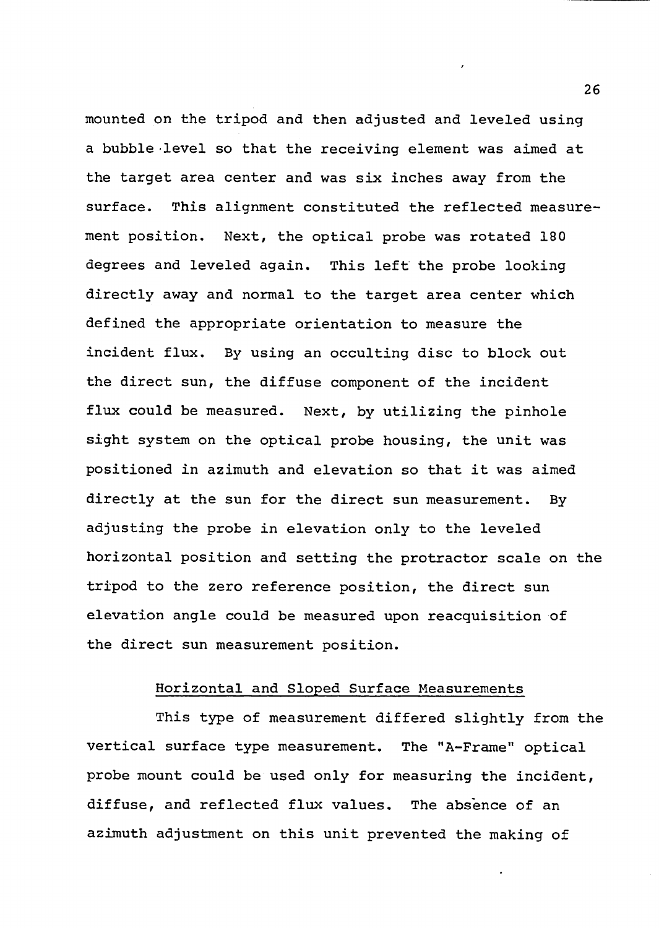**mounted on the tripod and then adjusted and leveled using a bubble level so that the receiving element was aimed at the target area center and was six inches away from the surface. This alignment constituted the reflected measurement position. Next, the optical probe was rotated 180 degrees and leveled again. This left the probe looking directly away and normal to the target area center which defined the appropriate orientation to measure the incident flux. By using an occulting disc to block out the direct sun, the diffuse component of the incident flux could be measured. Next, by utilizing the pinhole sight system on the optical probe housing, the unit was positioned in azimuth and elevation so that it was aimed directly at the sun for the direct sun measurement. By adjusting the probe in elevation only to the leveled horizontal position and setting the protractor scale on the tripod to the zero reference position, the direct sun elevation angle could be measured upon reacquisition of the direct sun measurement position.**

## **Horizontal and Sloped Surface Measurements**

**This type of measurement differed slightly from the vertical surface type measurement. The "A-Frame" optical probe mount could be used only for measuring the incident, diffuse, and reflected flux values. The absence of an azimuth adjustment on this unit prevented the making of**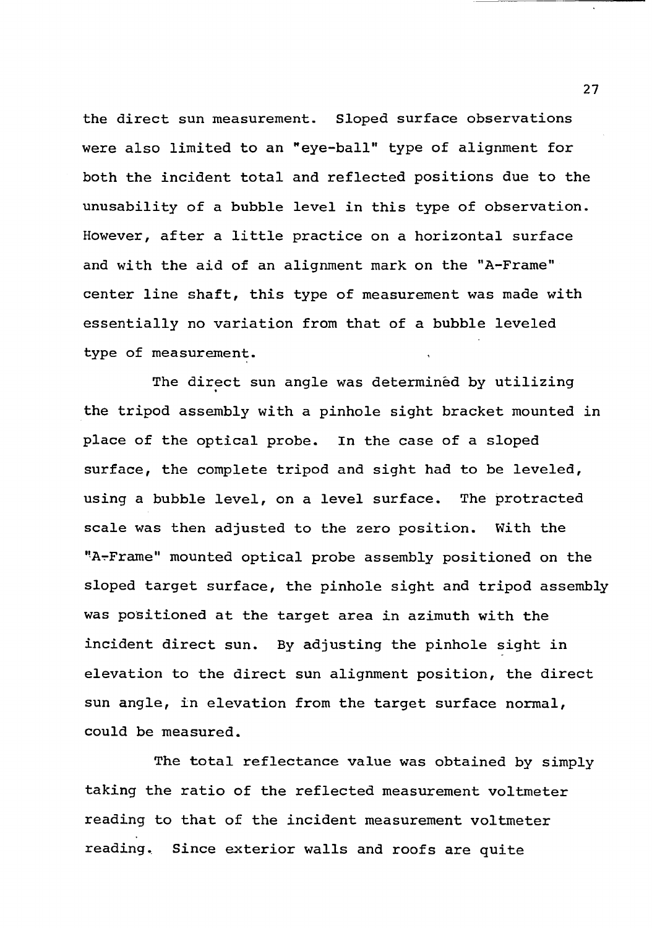**the direct sun measurement. Sloped surface observations were also limited to an "eye-ball" type of alignment for both the incident total and reflected positions due to the unusability of a bubble level in this type of observation. However, after a little practice on a horizontal surface and with the aid of an alignment mark on the "A-Frame" center line shaft, this type of measurement was made with essentially no variation from that of a bubble leveled type of measurement.**

**The direct sun angle was determined by utilizing the tripod assembly with a pinhole sight bracket mounted in place of the optical probe. In the case of a sloped surface, the complete tripod and sight had to be leveled, using a bubble level, on a level surface. The protracted scale was then adjusted to the zero position. With the "A-Frame" mounted optical probe assembly positioned on the sloped target surface, the pinhole sight and tripod assembly was positioned at the target area in azimuth with the incident direct sun. By adjusting the pinhole sight in elevation to the direct sun alignment position, the direct sun angle, in elevation from the target surface normal, could be measured.**

**The total reflectance value was obtained by simply taking the ratio of the reflected measurement voltmeter reading to that of the incident measurement voltmeter reading. Since exterior walls and roofs are quite**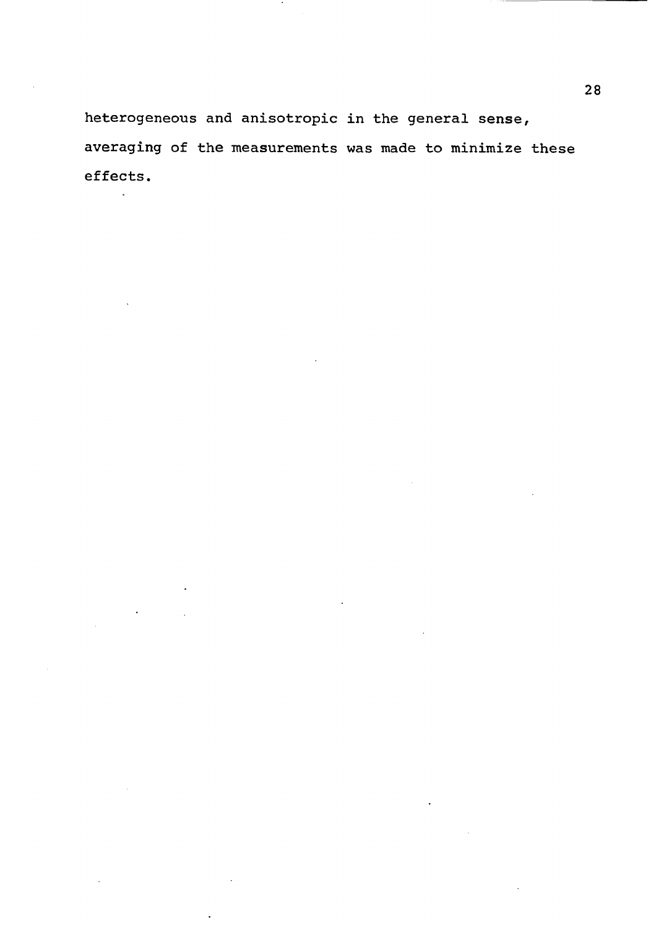**heterogeneous and anisotropic in the general sense, averaging of the measurements was made to minimize these effects.**

 $\mathcal{A}$ 

J.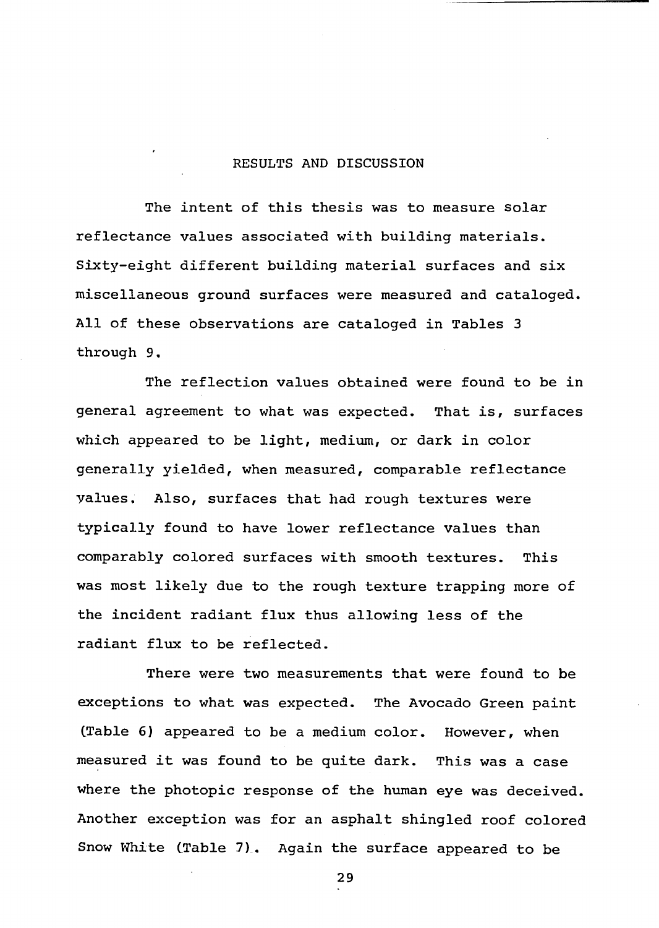## <span id="page-35-0"></span>**RESULTS AND DISCUSSION**

**The intent of this thesis was to measure solar reflectance values associated with building materials. Sixty-eight different building material surfaces and six miscellaneous ground surfaces were measured and cataloged. All of these observations are cataloged in Tables 3 through 9.**

**The reflection values obtained were found to be in general agreement to what was expected. That is, surfaces which appeared to be light, medium, or dark in color generally yielded, when measured, comparable reflectance values. Also, surfaces that had rough textures were typically found to have lower reflectance values than comparably colored surfaces with smooth textures. This was most likely due to the rough texture trapping more of the incident radiant flux thus allowing less of the radiant flux to be reflected.**

**There were two measurements that were found to be exceptions to what was expected. The Avocado Green paint (Table 6) appeared to be a medium color. However, when measured it was found to be quite dark. This was a case where the photopic response of the human eye was deceived. Another exception was for an asphalt shingled roof colored Snow White (Table 7). Again the surface appeared to be**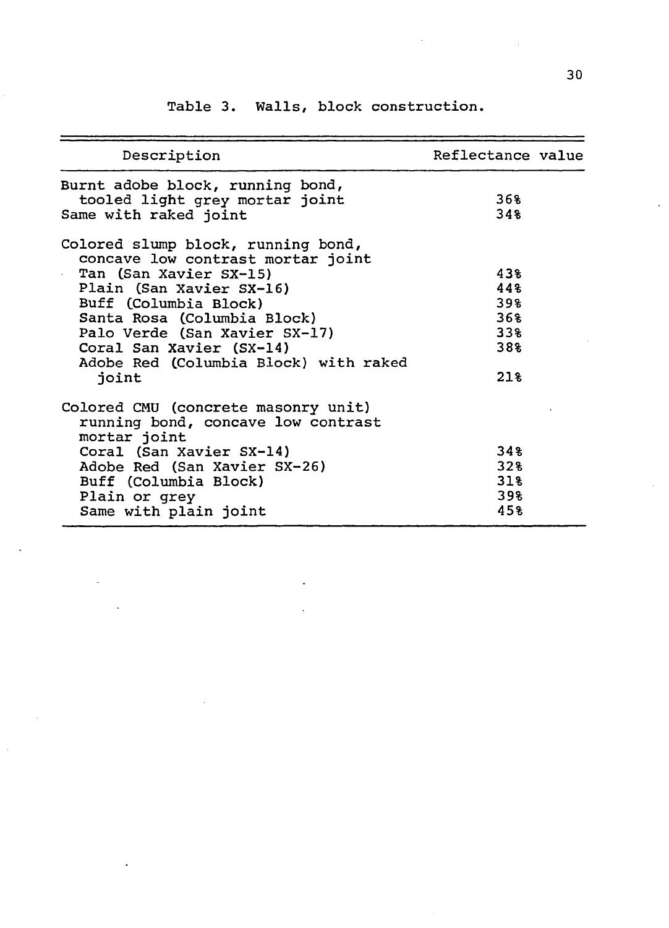| Description                                                                                                                                                                                                                                                                                                                  | Reflectance value                             |
|------------------------------------------------------------------------------------------------------------------------------------------------------------------------------------------------------------------------------------------------------------------------------------------------------------------------------|-----------------------------------------------|
| Burnt adobe block, running bond,<br>tooled light grey mortar joint<br>Same with raked joint                                                                                                                                                                                                                                  | 36%<br>34%                                    |
| Colored slump block, running bond,<br>concave low contrast mortar joint<br>Tan (San Xavier SX-15)<br>$\mathbf{a}^{(1)}$ .<br>Plain (San Xavier SX-16)<br>Buff (Columbia Block)<br>Santa Rosa (Columbia Block)<br>Palo Verde (San Xavier SX-17)<br>Coral San Xavier (SX-14)<br>Adobe Red (Columbia Block) with raked<br>joint | 43%<br>448<br>39%<br>36%<br>33%<br>38%<br>218 |
| Colored CMU (concrete masonry unit)<br>running bond, concave low contrast<br>mortar joint<br>Coral (San Xavier SX-14)<br>Adobe Red (San Xavier SX-26)<br>Buff (Columbia Block)<br>Plain or grey<br>Same with plain joint                                                                                                     | 34%<br>32%<br>31%<br>39%<br>45%               |

**Table 3. Walls, block construction.**

 $\bar{z}$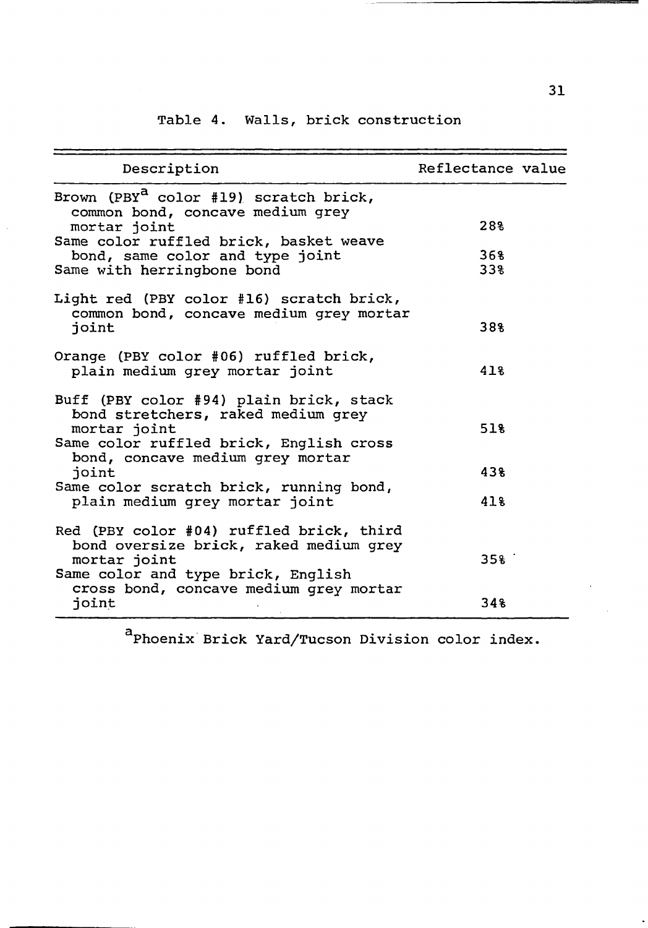## **Table 4. Walls, brick construction**

| Description                                                                                                                                                                  | Reflectance value |  |
|------------------------------------------------------------------------------------------------------------------------------------------------------------------------------|-------------------|--|
| Brown (PBY <sup>a</sup> color #19) scratch brick,<br>common bond, concave medium grey<br>mortar joint                                                                        | 28%               |  |
| Same color ruffled brick, basket weave<br>bond, same color and type joint<br>Same with herringbone bond                                                                      | 368<br>33%        |  |
| Light red (PBY color #16) scratch brick,<br>common bond, concave medium grey mortar<br>joint                                                                                 | 38%               |  |
| Orange (PBY color #06) ruffled brick,<br>plain medium grey mortar joint                                                                                                      | 418               |  |
| Buff (PBY color #94) plain brick, stack<br>bond stretchers, raked medium grey<br>mortar joint<br>Same color ruffled brick, English cross<br>bond, concave medium grey mortar | 51%               |  |
| joint                                                                                                                                                                        | 43%               |  |
| Same color scratch brick, running bond,<br>plain medium grey mortar joint                                                                                                    | 418               |  |
| Red (PBY color #04) ruffled brick, third<br>bond oversize brick, raked medium grey<br>mortar joint<br>Same color and type brick, English                                     | 35 <sup>8</sup>   |  |
| cross bond, concave medium grey mortar<br>joint                                                                                                                              | 348               |  |

**a Phoenix Brick Yard/Tucson Division color index.**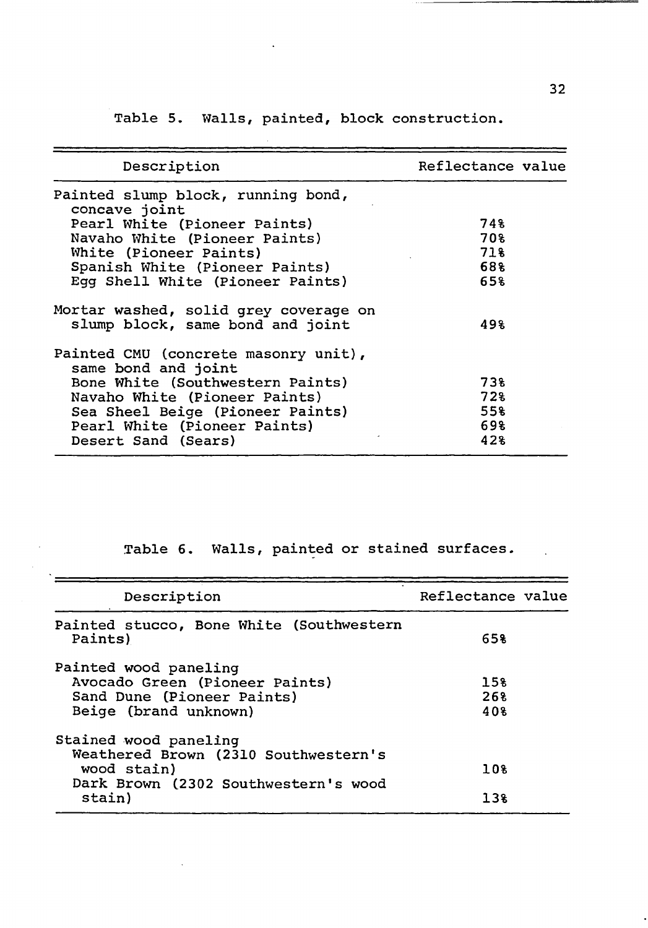**Table 5. Walls, painted, block construction.**

 $\ddot{\phantom{a}}$ 

| Description                                                               | Reflectance value |
|---------------------------------------------------------------------------|-------------------|
| Painted slump block, running bond,<br>concave joint                       |                   |
| Pearl White (Pioneer Paints)                                              | 748               |
| Navaho White (Pioneer Paints)                                             | 70%               |
| White (Pioneer Paints)                                                    | 71%               |
| Spanish White (Pioneer Paints)                                            | 68%               |
| Egg Shell White (Pioneer Paints)                                          | 658               |
| Mortar washed, solid grey coverage on<br>slump block, same bond and joint | 498               |
| Painted CMU (concrete masonry unit),<br>same bond and joint               |                   |
| Bone White (Southwestern Paints)                                          | 73%               |
| Navaho White (Pioneer Paints)                                             | 728               |
| Sea Sheel Beige (Pioneer Paints)                                          | 55%               |
| Pearl White (Pioneer Paints)                                              | 698               |
| Desert Sand (Sears)                                                       | 42%               |

**Table 6. Walls, painted or stained surfaces.**

| Description                                                                                                          | Reflectance value |
|----------------------------------------------------------------------------------------------------------------------|-------------------|
| Painted stucco, Bone White (Southwestern<br>Paints)                                                                  | 658               |
| Painted wood paneling<br>Avocado Green (Pioneer Paints)<br>Sand Dune (Pioneer Paints)<br>Beige (brand unknown)       | 15%<br>268<br>40% |
| Stained wood paneling<br>Weathered Brown (2310 Southwestern's<br>wood stain)<br>Dark Brown (2302 Southwestern's wood | 10%               |
| stain)                                                                                                               | 13%               |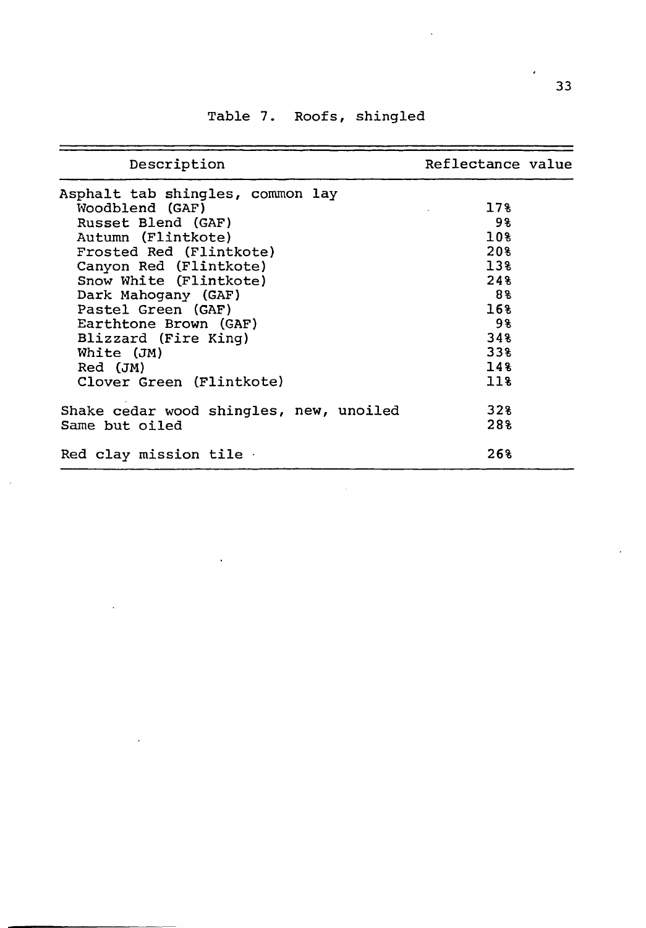| Description                             | Reflectance value |
|-----------------------------------------|-------------------|
| Asphalt tab shingles, common lay        |                   |
| Woodblend (GAF)                         | 178               |
| Russet Blend (GAF)                      | - 98              |
| Autumn (Flintkote)                      | 10%               |
| Frosted Red (Flintkote)                 | 20%               |
| Canyon Red (Flintkote)                  | 13%               |
| Snow White (Flintkote)                  | 24%               |
| Dark Mahogany (GAF)                     | 88                |
| Pastel Green (GAF)                      | 16%               |
| Earthtone Brown (GAF)                   | 98                |
| Blizzard (Fire King)                    | 348               |
| White (JM)                              | 338               |
| $Red$ $(JM)$                            | 14%               |
| Clover Green (Flintkote)                | 118               |
| Shake cedar wood shingles, new, unoiled | 32%               |
| Same but oiled                          | 28%               |
| Red clay mission tile .                 | 268               |

 $\bar{z}$ 

## **Table 7. Roofs, shingled**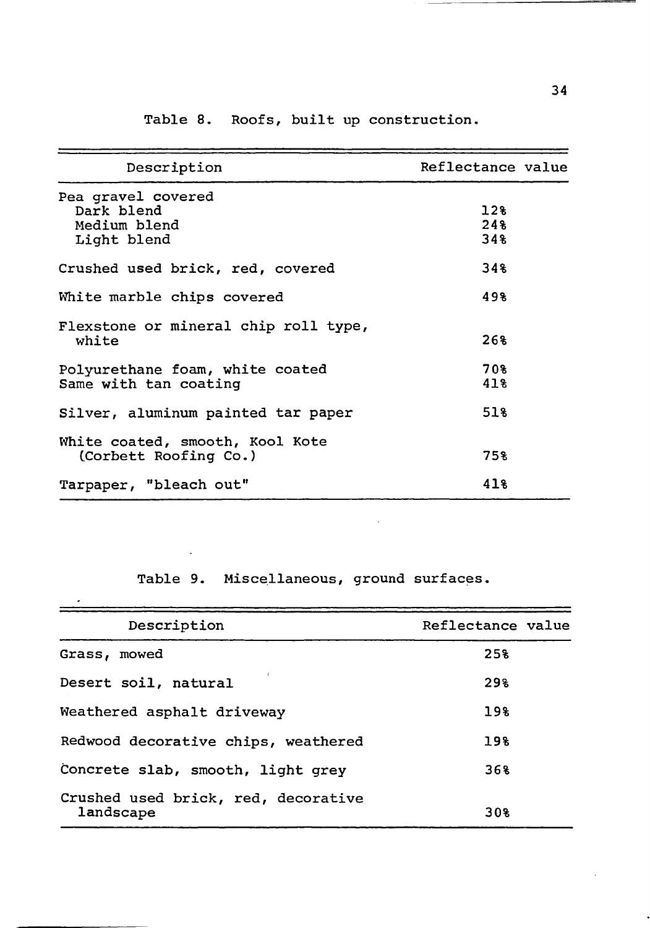| Description                                                     | Reflectance value |  |
|-----------------------------------------------------------------|-------------------|--|
| Pea gravel covered<br>Dark blend<br>Medium blend<br>Light blend | 128<br>248<br>34% |  |
| Crushed used brick, red, covered                                | 34%               |  |
| White marble chips covered                                      | 49%               |  |
| Flexstone or mineral chip roll type,<br>white                   | 268               |  |
| Polyurethane foam, white coated<br>Same with tan coating        | 708<br>41%        |  |
| Silver, aluminum painted tar paper                              | 518               |  |
| White coated, smooth, Kool Kote<br>(Corbett Roofing Co.)        | 75%               |  |
| Tarpaper, "bleach out"                                          | 41%               |  |

**Table 8. Roofs, built up construction.**

**Table 9. Miscellaneous, ground surfaces.**

 $\mathbb{R}^n$ 

 $\mathcal{L}^{\text{max}}_{\text{max}}$  , where  $\mathcal{L}^{\text{max}}_{\text{max}}$ 

<u> 1950 - Johann John Stone, mars</u>

 $\mathcal{L}$  . The set of  $\mathcal{L}$ 

 $\sim 10^7$ 

| Description                                      | Reflectance value |
|--------------------------------------------------|-------------------|
| Grass, mowed                                     | 25%               |
| Desert soil, natural                             | 29%               |
| Weathered asphalt driveway                       | 19%               |
| Redwood decorative chips, weathered              | 19%               |
| Concrete slab, smooth, light grey                | 368               |
| Crushed used brick, red, decorative<br>landscape | 30%               |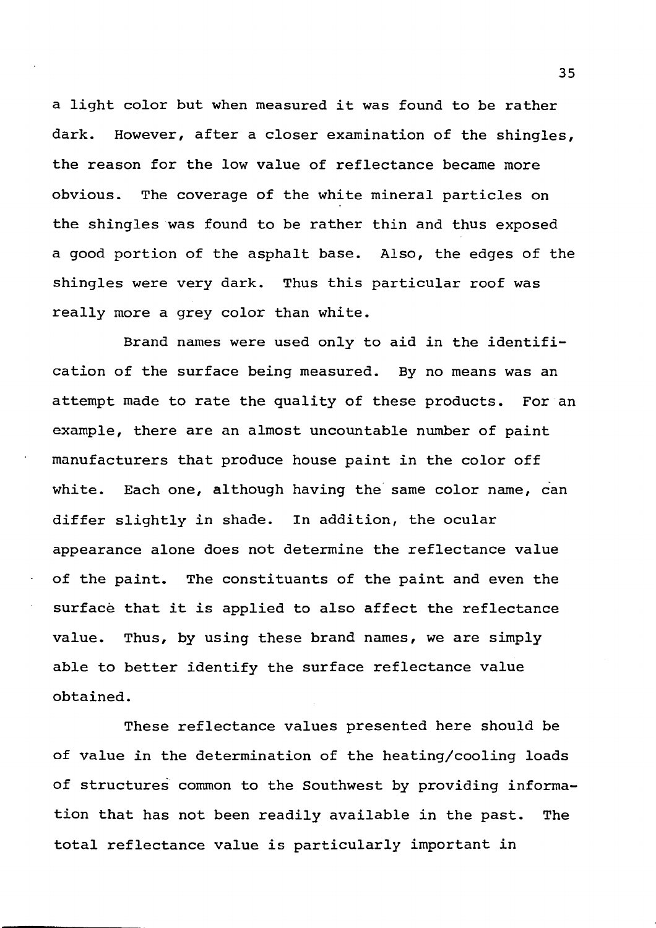**a light color but when measured it was found to be rather dark. However, after a closer examination of the shingles, the reason for the low value of reflectance became more obvious. The coverage of the white mineral particles on the shingles was found to be rather thin and thus exposed a good portion of the asphalt base. Also, the edges of the shingles were very dark. Thus this particular roof was really more a grey color than white.**

**Brand names were used only to aid in the identification of the surface being measured. By no means was an attempt made to rate the quality of these products. For an example, there are an almost uncountable number of paint manufacturers that produce house paint in the color off white. Each one, although having the same color name, can differ slightly in shade. In addition, the ocular appearance alone does not determine the reflectance value** of the paint. The constituants of the paint and even the **surface that it is applied to also affect the reflectance value. Thus, by using these brand names, we are simply able to better identify the surface reflectance value obtained.**

**These reflectance values presented here should be of value in the determination of the heating/cooling loads of structures common to the Southwest by providing information that has not been readily available in the past. The total reflectance value is particularly important in**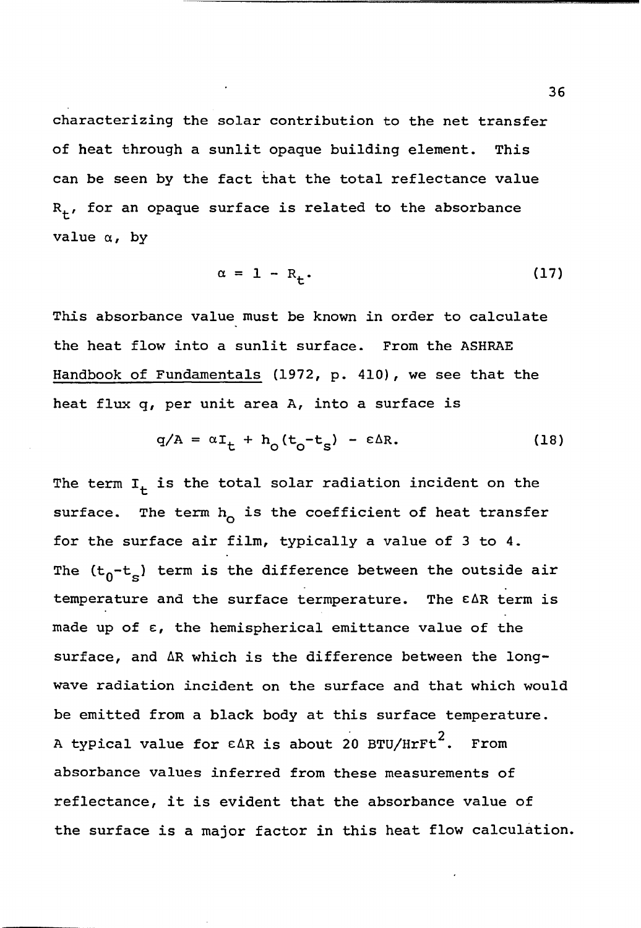**characterizing the solar contribution to the net transfer of heat through a sunlit opaque building element. This can be seen by the fact that the total reflectance value Rj., for an opaque surface is related to the absorbance value a, by**

$$
\alpha = 1 - R_{+}.
$$
 (17)

**This absorbance value must be known in order to calculate the heat flow into a sunlit surface. From the ASHRAE Handbook of Fundamentals (1972, p. 410), we see that the heat flux q, per unit area A, into a surface is**

$$
q/A = \alpha I_t + h_o(t_o - t_s) - \epsilon \Delta R. \qquad (18)
$$

The term  $I_t$  is the total solar radiation incident on the surface. The term h<sub>o</sub> is the coefficient of heat transfer **for the surface air film, typically a value of 3 to 4.** The (t<sub>0</sub>-t<sub>s</sub>) term is the difference between the outside air **temperature and the surface termperature. The e Ar term is made up of e, the hemispherical emittance value of the surface, and AR which is the difference between the longwave radiation incident on the surface and that which would be emitted from a black body at this surface temperature. 2 A typical value for cAR is about 20 BTU/HrFt . From absorbance values inferred from these measurements of reflectance, it is evident that the absorbance value of the surface is a major factor in this heat flow calculation.**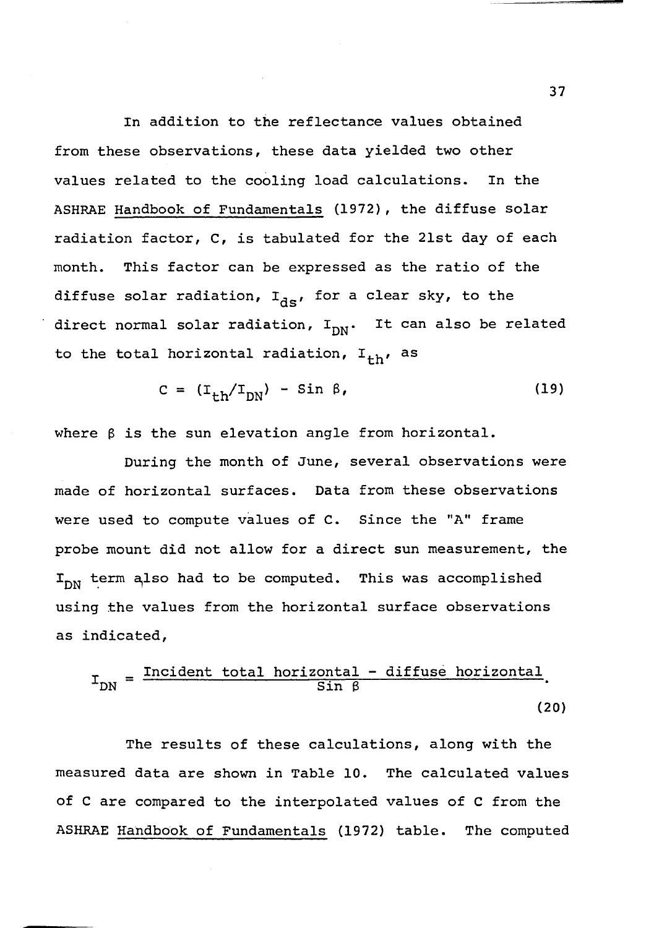**In addition to the reflectance values obtained from these observations, these data yielded two other values related to the cooling load calculations. In the ASHRAE Handbook of Fundamentals (1972), the diffuse solar radiation factor, C, is tabulated for the 21st day of each month. This factor can be expressed as the ratio of the** diffuse solar radiation, I<sub>ds</sub>, for a clear sky, to the direct normal solar radiation, I<sub>DN</sub>. It can also be related to the total horizontal radiation, I<sub>+h</sub>, as

$$
C = (I_{th}/I_{DN}) - Sin \beta, \qquad (19)
$$

**where 3 is the sun elevation angle from horizontal.**

**During the month of June, several observations were made of horizontal surfaces. Data from these observations were used to compute values of C. Since the "A" frame probe mount did not allow for a direct sun measurement, the** I<sub>DN</sub> term also had to be computed. This was accomplished **using the values from the horizontal surface observations as indicated.**

$$
I_{DN} = \frac{Incident total horizontal - diffuse horizontal}{Sin \beta}
$$
 (20)

**The results of these calculations, along with the measured data are shown in Table 10. The calculated values of C are compared to the interpolated values of C from the ASHRAE Handbook of Fundamentals (1972) table. The computed**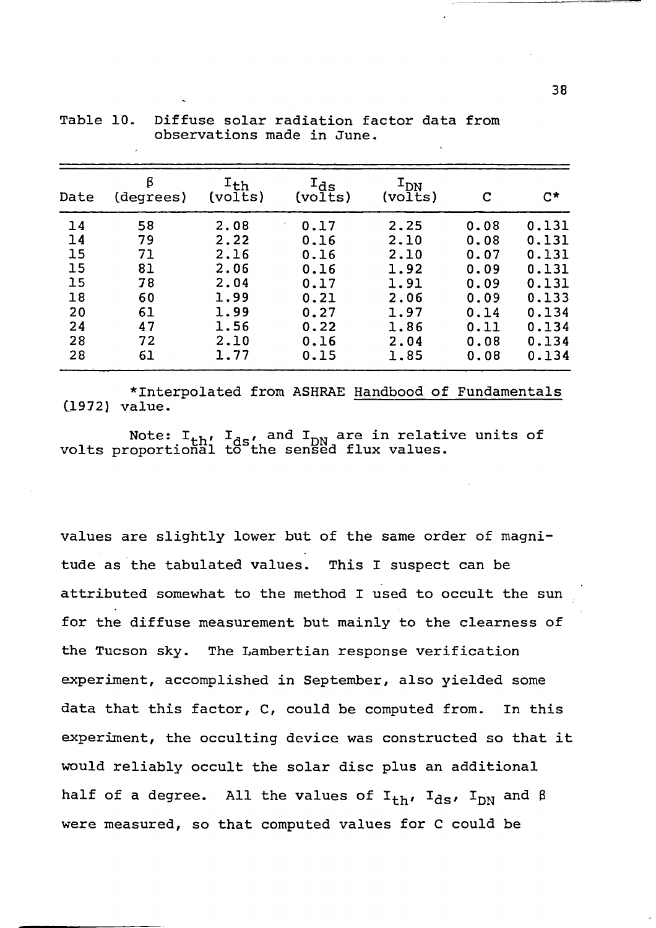| Date                                                      | β<br>(degrees)                                           | $I_{\text{th}}$<br>(volts)                                                   | $\mathtt{I}_{\mathtt{ds}}$<br>(volts)                                        | $\texttt{I}_{\texttt{DN}}$<br>(volts)                                        | C                                                                            | $C^{\star}$                                                                            |
|-----------------------------------------------------------|----------------------------------------------------------|------------------------------------------------------------------------------|------------------------------------------------------------------------------|------------------------------------------------------------------------------|------------------------------------------------------------------------------|----------------------------------------------------------------------------------------|
| 14<br>14<br>15<br>15<br>15<br>18<br>20<br>24<br>28<br>.28 | 58<br>79<br>71<br>81<br>78<br>60<br>61<br>47<br>72<br>61 | 2.08<br>2.22<br>2.16<br>2.06<br>2.04<br>1.99<br>1.99<br>1.56<br>2.10<br>1.77 | 0.17<br>0.16<br>0.16<br>0.16<br>0.17<br>0.21<br>0.27<br>0.22<br>0.16<br>0.15 | 2.25<br>2.10<br>2.10<br>1.92<br>1.91<br>2.06<br>1.97<br>1.86<br>2.04<br>1.85 | 0.08<br>0.08<br>0.07<br>0.09<br>0.09<br>0.09<br>0.14<br>0.11<br>0.08<br>0.08 | 0.131<br>0.131<br>0.131<br>0.131<br>0.131<br>0.133<br>0.134<br>0.134<br>0.134<br>0.134 |

**Table 10. Diffuse solar radiation factor data from observations made in June.**

**\*Interpolated from ASHRAE Handbood of Fundamentals (1972) value.**

 $M$ ote:  $I_{\text{th}}$ ,  $I_{\text{ds}}$ , and  $I_{\text{DN}}$  are in relative units of **volts proportional to the sensed flux values.**

**values are slightly lower but of the same order of magnitude as the tabulated values. This I suspect can be attributed somewhat to the method I used to occult the sun for the diffuse measurement but mainly to the clearness of the Tucson sky. The Lambertian response verification experiment, accomplished in September, also yielded some data that this factor, C, could be computed from. In this experiment, the occulting device was constructed so that it would reliably occult the solar disc plus an additional** half of a degree. All the values of  $I_{th}$ ,  $I_{ds}$ ,  $I_{DN}$  and  $\beta$ **were measured, so that computed values for C could be**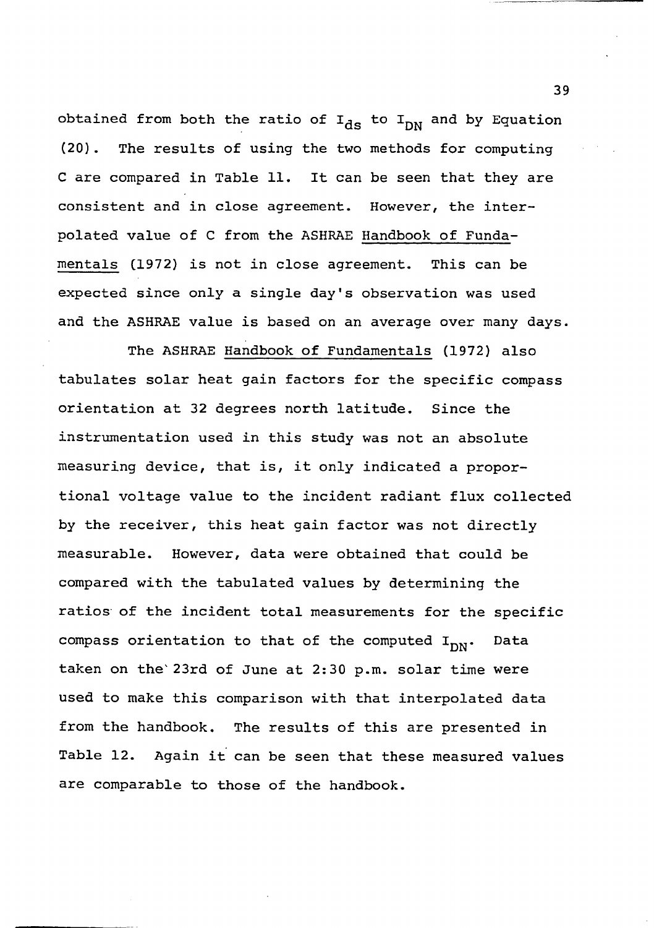obtained from both the ratio of  $I_{\text{ds}}$  to  $I_{\text{DN}}$  and by Equation **(20) . The results of using the two methods for computing C are compared in Table 11. It can be seen that they are consistent and in close agreement. However, the interpolated value of C from the ASHRAE Handbook of Fundamentals (1972) is not in close agreement. This can be expected since only a single day's observation was used and the ASHRAE value is based on an average over many days.**

**The ASHRAE Handbook of Fundamentals (1972) also tabulates solar heat gain factors for the specific compass orientation at 32 degrees north latitude. Since the instrumentation used in this study was not an absolute measuring device, that is, it only indicated a proportional voltage value to the incident radiant flux collected by the receiver, this heat gain factor was not directly measurable. However, data were obtained that could be compared with the tabulated values by determining the ratios of the incident total measurements for the specific** compass orientation to that of the computed I<sub>DN</sub>. Data **taken on the 23rd of June at 2:30 p.m. solar time were used to make this comparison with that interpolated data from the handbook. The results of this are presented in Table 12. Again it can be seen that these measured values are comparable to those of the handbook.**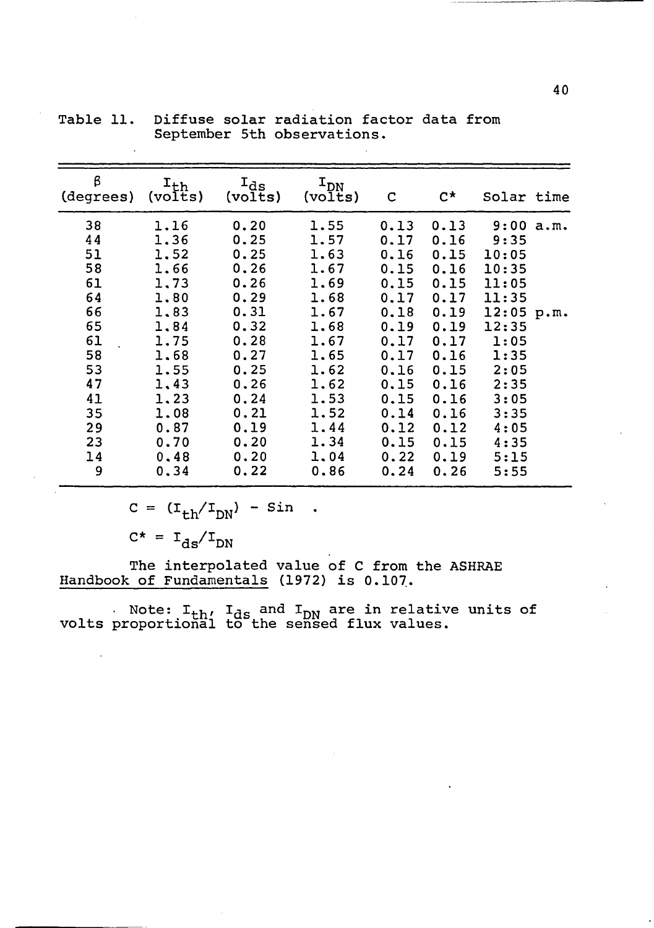| β<br>$I_{ds}$<br>$I_{DN}$<br>$I_{th}$<br>$C^{\star}$<br>(degrees)<br>Solar time<br>(volts)<br>(volts)<br>(volts)<br>C<br>38<br>9:00 a.m.<br>1.16<br>0.20<br>1.55<br>0.13<br>0.13<br>44<br>1.36<br>0.25<br>1.57<br>0.17<br>9:35<br>0.16<br>51<br>1.52<br>0.25<br>1.63<br>0.16<br>0.15<br>10:05<br>58<br>0.26<br>1.66<br>1.67<br>0.15<br>0.16<br>10:35<br>61<br>1.69<br>0.26<br>1,73<br>0.15<br>0.15<br>11:05<br>64<br>0.29<br>1.80<br>1.68<br>0.17<br>0.17<br>11:35<br>66<br>0.31<br>1.83<br>1.67<br>0.18<br>0.19<br>$12:05$ p.m.<br>65<br>1.84<br>0.32<br>1.68<br>0.19<br>0.19<br>12:35<br>61<br>0.28<br>1.75<br>1.67<br>0.17<br>0.17<br>1:05<br>58<br>0.27<br>1.68<br>1.65<br>0.17<br>0.16<br>1:35<br>53<br>0.25<br>1.62<br>2:05<br>1.55<br>0.16<br>0.15<br>47<br>1.62<br>1,43<br>0.26<br>0.15<br>2:35<br>0.16<br>41<br>0.24<br>0.15<br>1,23<br>1.53<br>3:05<br>0.16<br>0.21<br>35<br>1.08<br>1.52<br>0.14<br>0.16<br>3:35<br>1.44<br>29<br>0.87<br>0.19<br>0.12<br>4:05<br>0.12<br>23<br>1.34<br>0.15<br>0.70<br>0.20<br>0.15<br>4:35<br>14<br>0.20<br>1.04<br>0.22<br>0.48<br>5:15<br>0.19 |   |      |      |      |      |      |      |  |
|-----------------------------------------------------------------------------------------------------------------------------------------------------------------------------------------------------------------------------------------------------------------------------------------------------------------------------------------------------------------------------------------------------------------------------------------------------------------------------------------------------------------------------------------------------------------------------------------------------------------------------------------------------------------------------------------------------------------------------------------------------------------------------------------------------------------------------------------------------------------------------------------------------------------------------------------------------------------------------------------------------------------------------------------------------------------------------------------------|---|------|------|------|------|------|------|--|
|                                                                                                                                                                                                                                                                                                                                                                                                                                                                                                                                                                                                                                                                                                                                                                                                                                                                                                                                                                                                                                                                                               |   |      |      |      |      |      |      |  |
|                                                                                                                                                                                                                                                                                                                                                                                                                                                                                                                                                                                                                                                                                                                                                                                                                                                                                                                                                                                                                                                                                               | 9 | 0.34 | 0.22 | 0.86 | 0.24 | 0.26 | 5:55 |  |

**Table 11. Diffuse solar radiation factor data from September 5th observations.**

$$
c = (I_{th}/I_{DN}) - \sin .
$$

 $C^* = I_{ds}/I_{DN}$ 

**The interpolated value of C from the ASHRAE Handbook of Fundamentals (1972) is 0.107.**

**Note: I^h' ^ds an<^ ^d n are relative units of volts proportional to the sensed flux values.**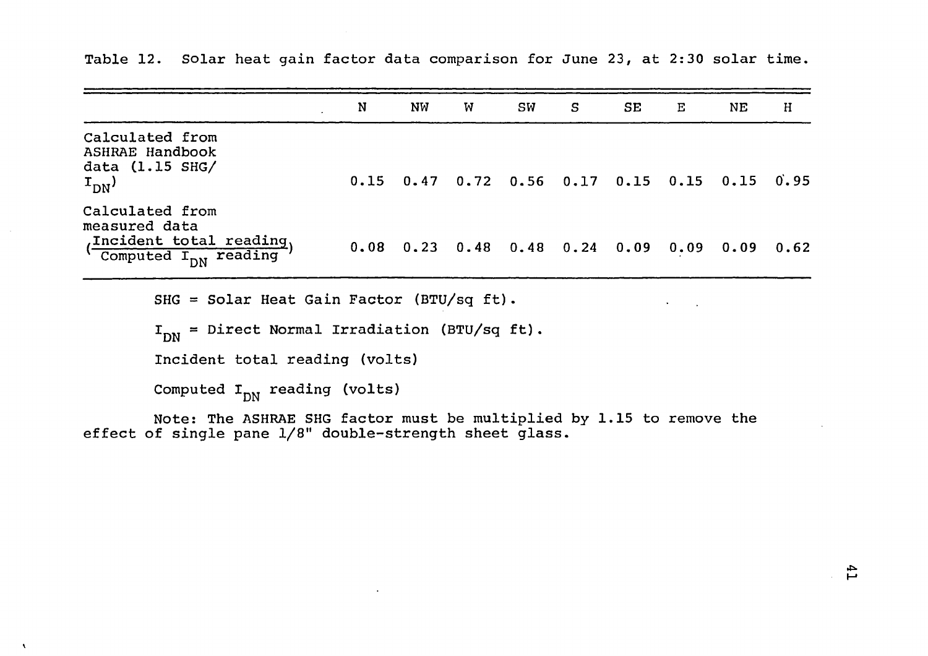|                                                                                                                       | N | NW. | w | SW                                                             | S. | SE | Е | ΝE | $\mathbf H$ |
|-----------------------------------------------------------------------------------------------------------------------|---|-----|---|----------------------------------------------------------------|----|----|---|----|-------------|
| Calculated from<br>ASHRAE Handbook<br>data $(1.15$ SHG/<br>$\mathrm{r}_{\mathrm{DN}}$                                 |   |     |   | $0.15$ $0.47$ $0.72$ $0.56$ $0.17$ $0.15$ $0.15$ $0.15$ $0.95$ |    |    |   |    |             |
| Calculated from<br>measured data<br>Incident total reading,<br>( $\overline{\text{computed } I_{\text{DN}}}$ reading) |   |     |   | $0.08$ 0.23 0.48 0.48 0.24 0.09 0.09 0.09 0.62                 |    |    |   |    |             |
| SHG = Solar Heat Gain Factor (BTU/sq ft).                                                                             |   |     |   |                                                                |    |    |   |    |             |

**Table 12. Solar heat gain factor data comparison for June 23, at 2:30 solar time.**

**IDN = Direct Normal Irradiation (BTU/sq ft).**

**Incident total reading (volts)**

Computed I<sub>DN</sub> reading (volts)

 $\lambda$ 

**Note: The ASHRAE SHG factor must be multiplied by 1.15 to remove the effect of single pane 1/8" double-strength sheet glass.**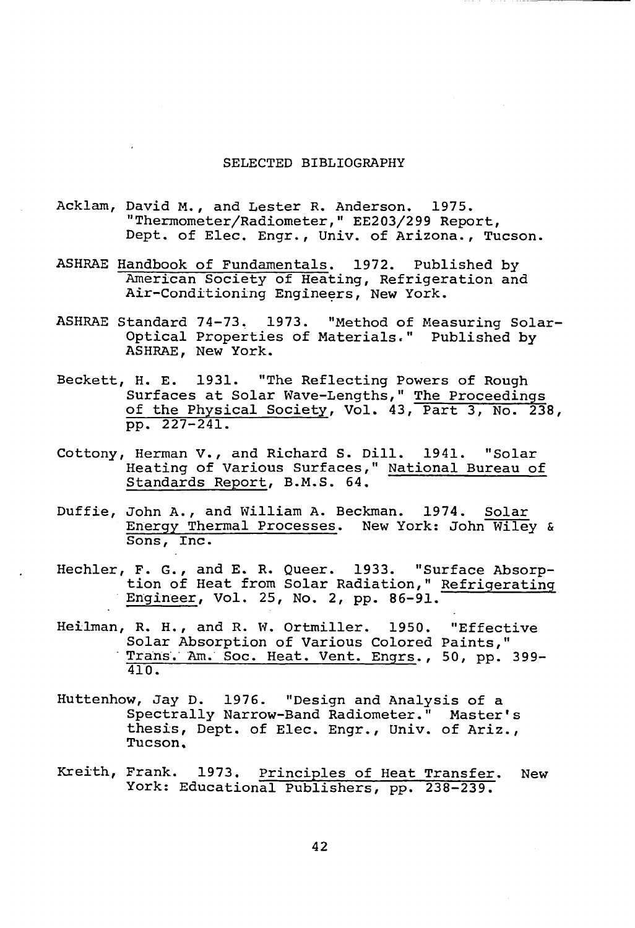#### **SELECTED BIBLIOGRAPHY**

- **Acklam, David M. , and Lester R. Anderson. 1975. "Thermometer/Radiometer," EE203/299 Report, Dept, of Elec. Engr., Univ. of Arizona., Tucson.**
- **ASHRAE Handbook of Fundamentals. 1972. Published by American Society of Heating, Refrigeration and Air-Conditioning Engineers, New York.**
- **ASHRAE Standard 74-73, 1973. "Method of Measuring Solar-Optical Properties of Materials." Published by ASHRAE, New York.**
- **Beckett, H. E. 1931. "The Reflecting Powers of Rough Surfaces at Solar Wave-Lengths," The Proceedings of the Physical Society, Vol. 43, Part 3, No. 238, pp. 227-241.**
- **Cottony, Herman V., and Richard S. Dill. 1941. "Solar Heating of Various Surfaces," National Bureau of Standards Report, B.M.S. 64.**
- **Duffie, John A., and William A. Beckman. 1974. Solar Energy Thermal Processes. New York: John Wiley & Sons, Inc.**
- **Hechler, F. G., and E. R. Queer. 1933. "Surface Absorption of Heat from Solar Radiation," Refrigerating Engineer, Vol. 25, No. 2, pp. 86-91.**
- **Heilman, R. H., and R. W. Ortmiller. 1950. "Effective Solar Absorption of Various Colored Paints," Trans. Am. Soc. Heat. Vent. Engrs., 50, pp. 399- 410.**
- **Huttenhow, Jay D. 1976. "Design and Analysis of a Spectrally Narrow-Band Radiometer." Master's thesis, Dept, of Elec. Engr., Univ. of Ariz., Tucson,**
- **Kreith, Frank. 1973. Principles of Heat Transfer. New York: Educational Publishers, pp. 238-239.**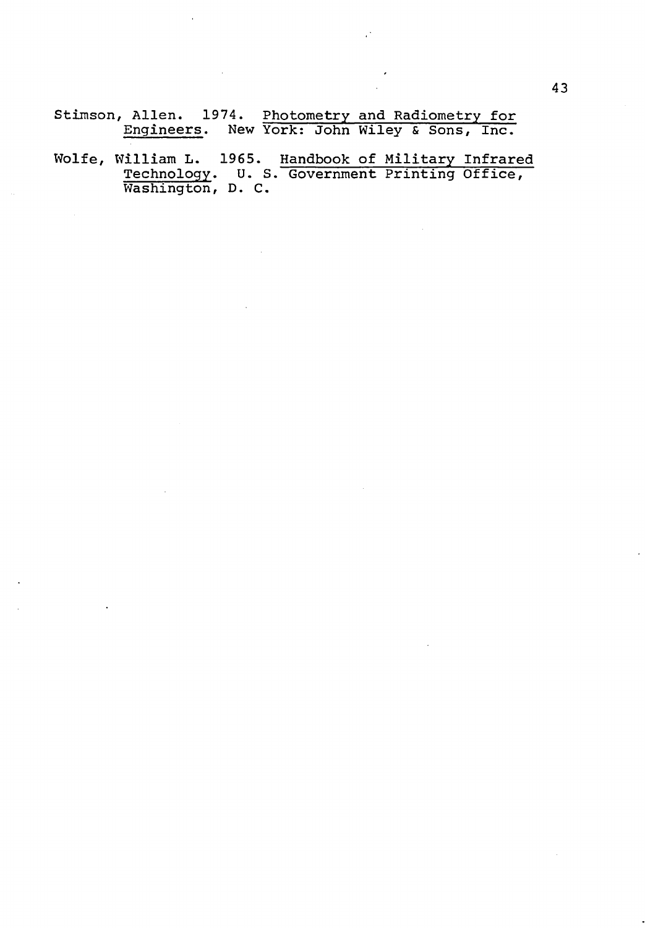**Stimson, Allen. 1974. Photometry and Radiometry for Engineers. New York: John Wiley & Sons, Inc.**

**Wolfe, William L. 1965. Handbook of Military Infrared Technology. U. S. Government Printing Office, Washington, D. C.**